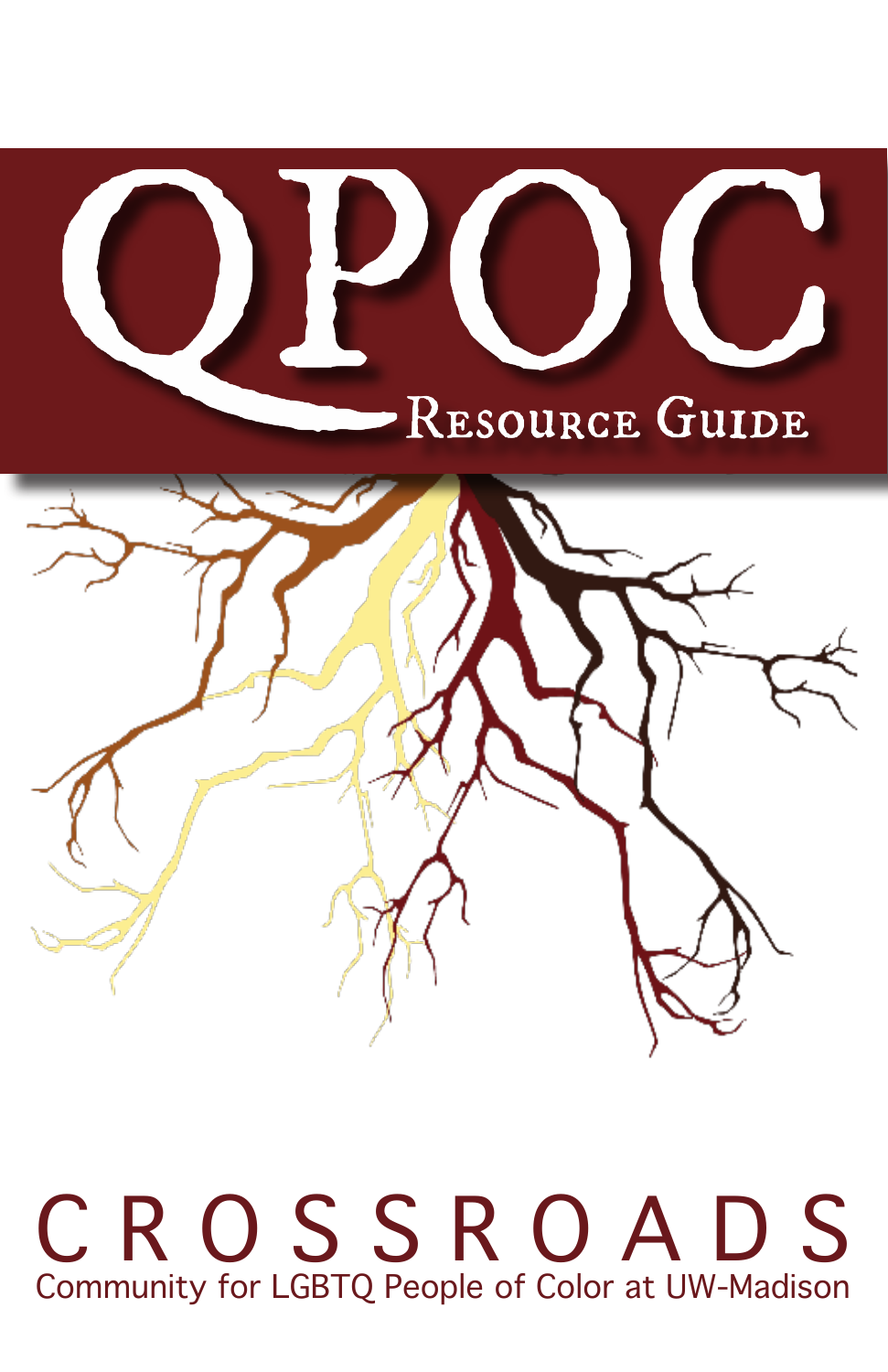



C R O S S R O A D S Community for LGBTQ People of Color at UW-Madison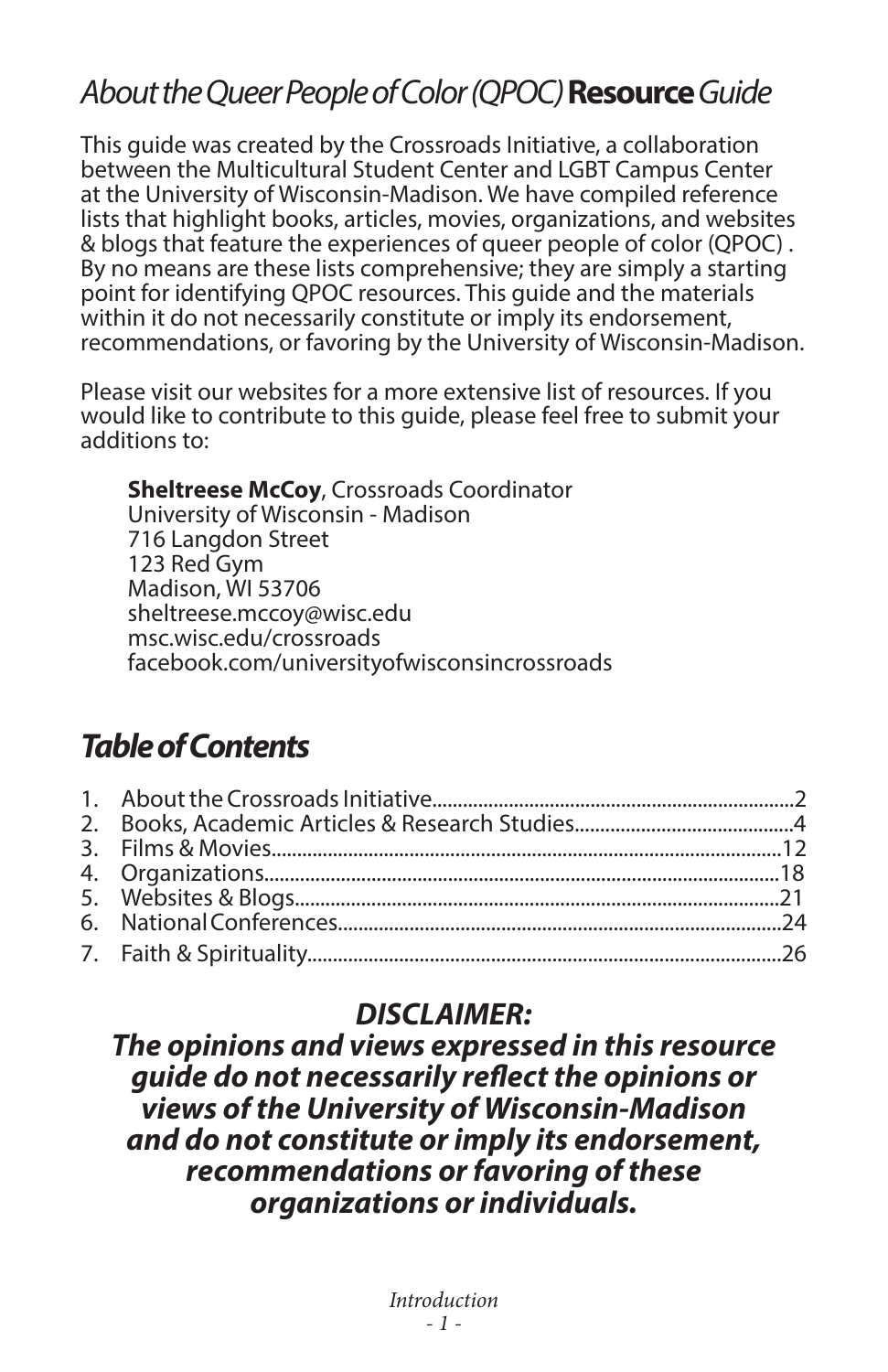# *About the Queer People of Color (QPOC)***Resource***Guide*

This guide was created by the Crossroads Initiative, a collaboration between the Multicultural Student Center and LGBT Campus Center at the University of Wisconsin-Madison. We have compiled reference lists that highlight books, articles, movies, organizations, and websites & blogs that feature the experiences of queer people of color (QPOC) . By no means are these lists comprehensive; they are simply a starting point for identifying QPOC resources. This guide and the materials within it do not necessarily constitute or imply its endorsement, recommendations, or favoring by the University of Wisconsin-Madison.

Please visit our websites for a more extensive list of resources. If you would like to contribute to this guide, please feel free to submit your additions to:

**Sheltreese McCoy**, Crossroads Coordinator

University of Wisconsin - Madison 716 Langdon Street 123 Red Gym Madison, WI 53706 sheltreese.mccoy@wisc.edu msc.wisc.edu/crossroads facebook.com/universityofwisconsincrossroads

# *Table of Contents*

## *DISCLAIMER:*

*The opinions and views expressed in this resource guide do not necessarily reflect the opinions or views of the University of Wisconsin-Madison and do not constitute or imply its endorsement, recommendations or favoring of these organizations or individuals.*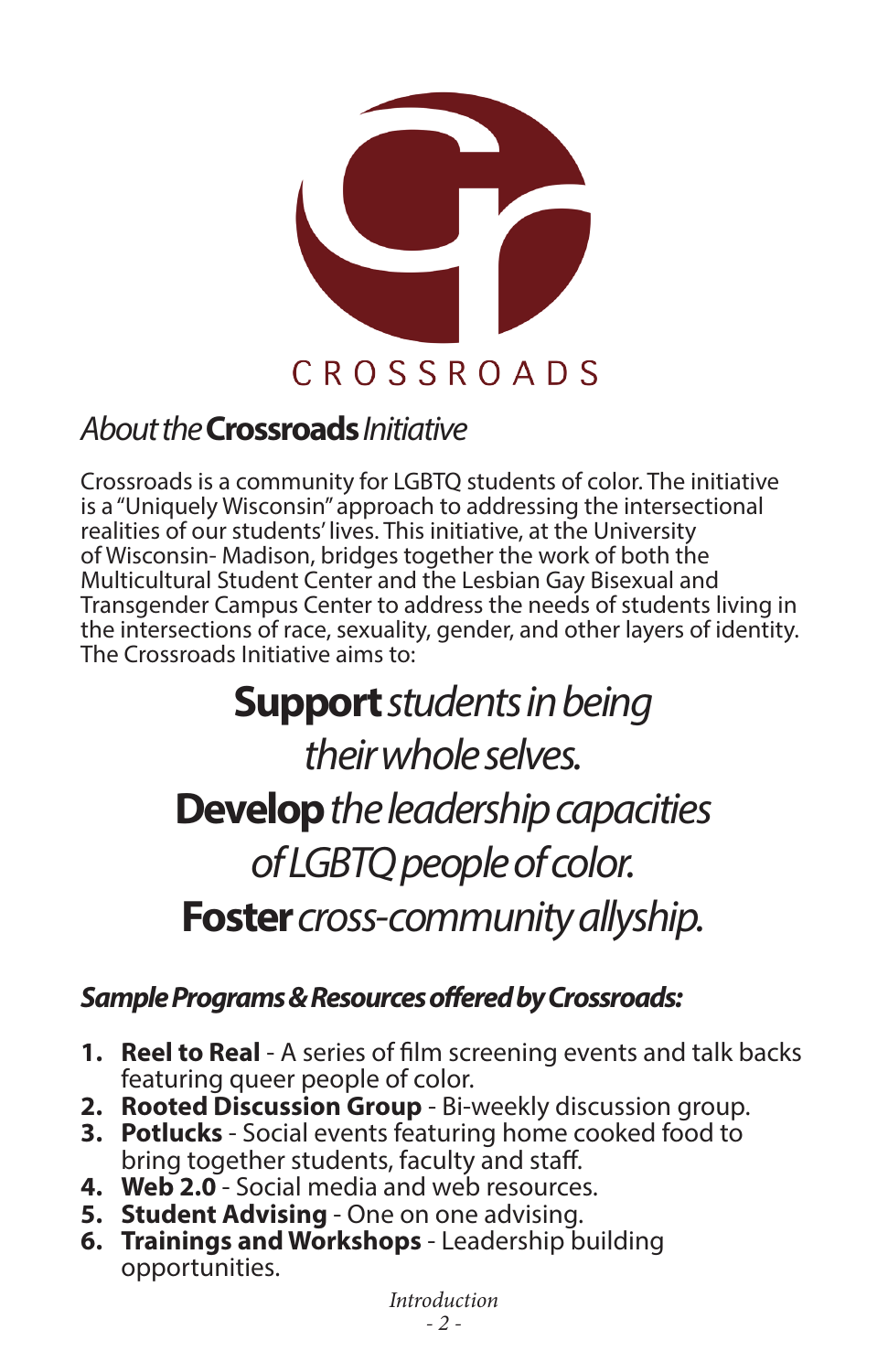

# *About the* **Crossroads***Initiative*

Crossroads is a community for LGBTQ students of color. The initiative is a "Uniquely Wisconsin" approach to addressing the intersectional realities of our students' lives. This initiative, at the University of Wisconsin- Madison, bridges together the work of both the Multicultural Student Center and the Lesbian Gay Bisexual and Transgender Campus Center to address the needs of students living in the intersections of race, sexuality, gender, and other layers of identity. The Crossroads Initiative aims to:

# **Support***students in being their whole selves.*  **Develop***the leadership capacities of LGBTQ people of color.*  **Foster***cross-community allyship.*

### *Sample Programs & Resources offered by Crossroads:*

- **1. Reel to Real** A series of film screening events and talk backs featuring queer people of color.
- **2. Rooted Discussion Group** Bi-weekly discussion group.
- **3. Potlucks** Social events featuring home cooked food to bring together students, faculty and staff.
- **4. Web 2.0**  Social media and web resources.
- **5. Student Advising** One on one advising.
- **6. Trainings and Workshops** Leadership building opportunities.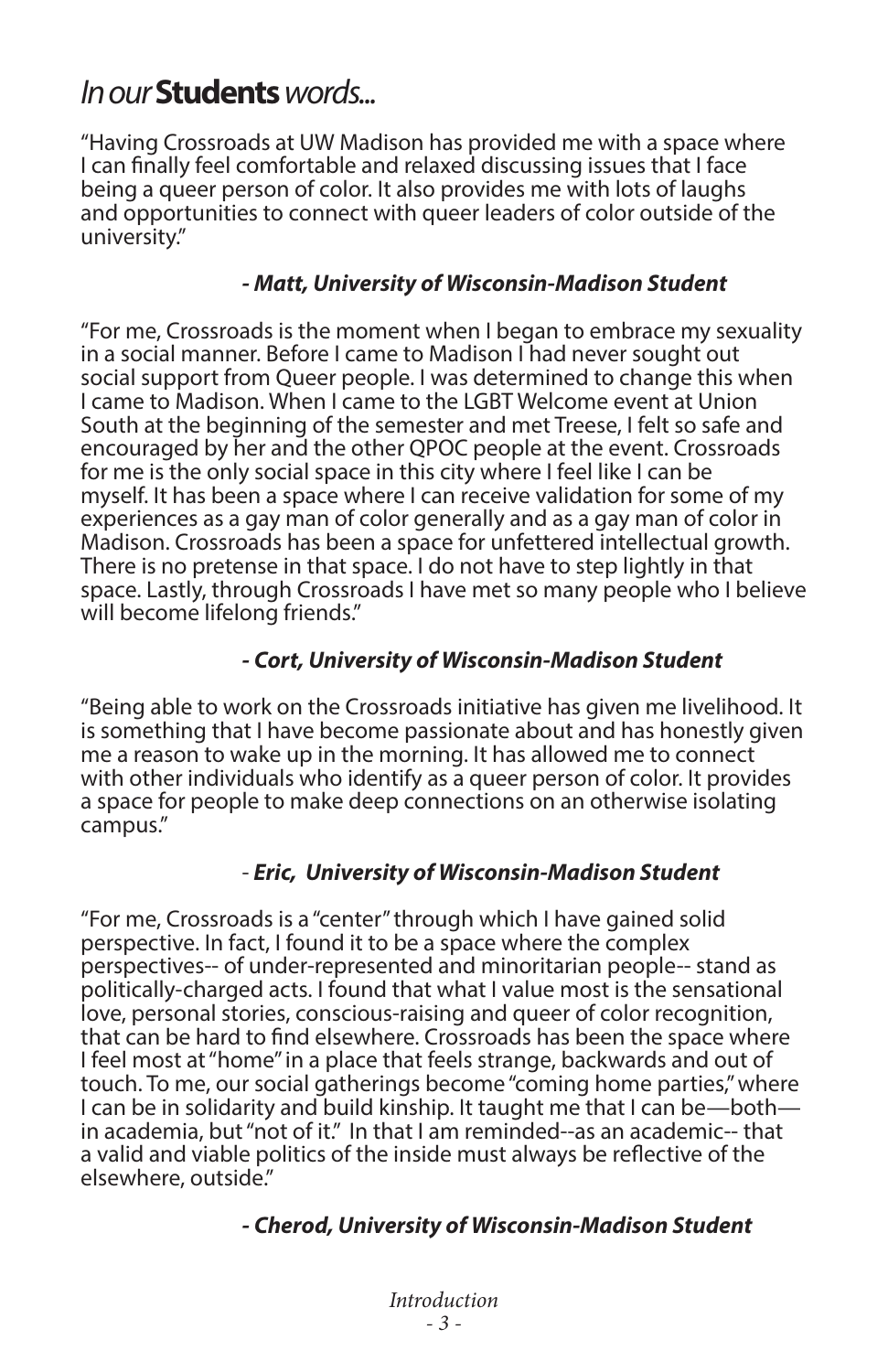# *In our* **Students** *words...*

"Having Crossroads at UW Madison has provided me with a space where I can finally feel comfortable and relaxed discussing issues that I face being a queer person of color. It also provides me with lots of laughs and opportunities to connect with queer leaders of color outside of the university."

#### *- Matt, University of Wisconsin-Madison Student*

"For me, Crossroads is the moment when I began to embrace my sexuality in a social manner. Before I came to Madison I had never sought out social support from Queer people. I was determined to change this when I came to Madison. When I came to the LGBT Welcome event at Union South at the beginning of the semester and met Treese, I felt so safe and encouraged by her and the other QPOC people at the event. Crossroads for me is the only social space in this city where I feel like I can be myself. It has been a space where I can receive validation for some of my experiences as a gay man of color generally and as a gay man of color in Madison. Crossroads has been a space for unfettered intellectual growth. There is no pretense in that space. I do not have to step lightly in that space. Lastly, through Crossroads I have met so many people who I believe will become lifelong friends."

#### *- Cort, University of Wisconsin-Madison Student*

"Being able to work on the Crossroads initiative has given me livelihood. It is something that I have become passionate about and has honestly given me a reason to wake up in the morning. It has allowed me to connect with other individuals who identify as a queer person of color. It provides a space for people to make deep connections on an otherwise isolating campus."

#### - *Eric, University of Wisconsin-Madison Student*

"For me, Crossroads is a "center" through which I have gained solid perspective. In fact, I found it to be a space where the complex perspectives-- of under-represented and minoritarian people-- stand as politically-charged acts. I found that what I value most is the sensational love, personal stories, conscious-raising and queer of color recognition, that can be hard to find elsewhere. Crossroads has been the space where I feel most at "home" in a place that feels strange, backwards and out of touch. To me, our social gatherings become "coming home parties," where I can be in solidarity and build kinship. It taught me that I can be—both in academia, but "not of it." In that I am reminded--as an academic-- that a valid and viable politics of the inside must always be reflective of the elsewhere, outside."

#### *- Cherod, University of Wisconsin-Madison Student*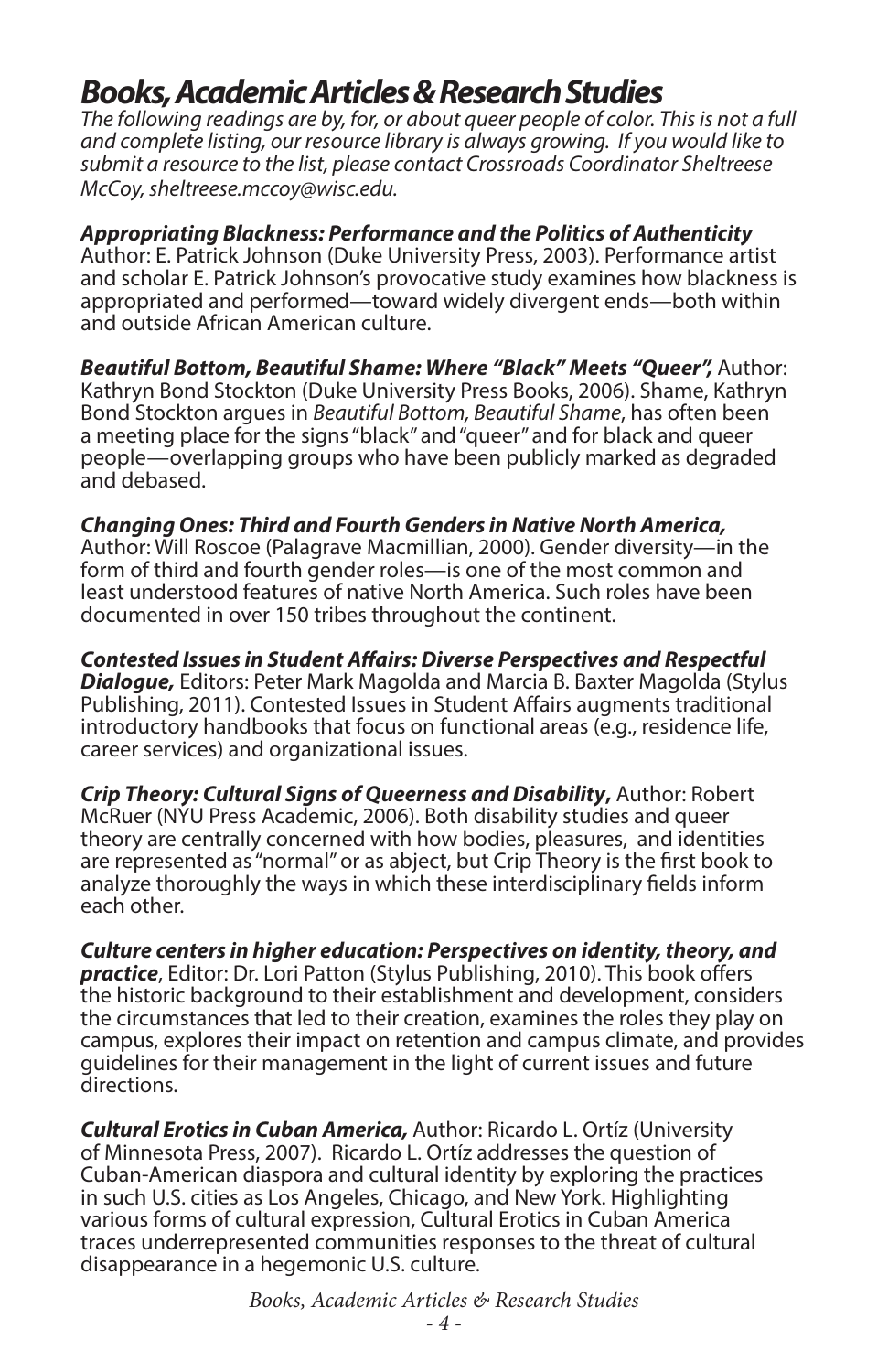# *Books, Academic Articles & Research Studies*

*The following readings are by, for, or about queer people of color. This is not a full and complete listing, our resource library is always growing. If you would like to submit a resource to the list, please contact Crossroads Coordinator Sheltreese McCoy, sheltreese.mccoy@wisc.edu.*

#### *Appropriating Blackness: Performance and the Politics of Authenticity*

Author: E. Patrick Johnson (Duke University Press, 2003). Performance artist and scholar E. Patrick Johnson's provocative study examines how blackness is appropriated and performed—toward widely divergent ends—both within and outside African American culture.

*Beautiful Bottom, Beautiful Shame: Where "Black" Meets "Queer",* Author: Kathryn Bond Stockton (Duke University Press Books, 2006). Shame, Kathryn Bond Stockton argues in *Beautiful Bottom, Beautiful Shame*, has often been a meeting place for the signs "black" and "queer" and for black and queer people—overlapping groups who have been publicly marked as degraded and debased.

#### *Changing Ones: Third and Fourth Genders in Native North America,*

Author: Will Roscoe (Palagrave Macmillian, 2000). Gender diversity—in the form of third and fourth gender roles—is one of the most common and least understood features of native North America. Such roles have been documented in over 150 tribes throughout the continent.

*Contested Issues in Student Affairs: Diverse Perspectives and Respectful Dialogue,* Editors: Peter Mark Magolda and Marcia B. Baxter Magolda (Stylus Publishing, 2011). Contested Issues in Student Affairs augments traditional introductory handbooks that focus on functional areas (e.g., residence life, career services) and organizational issues.

*Crip Theory: Cultural Signs of Queerness and Disability***,** Author: Robert McRuer (NYU Press Academic, 2006). Both disability studies and queer theory are centrally concerned with how bodies, pleasures, and identities are represented as "normal" or as abject, but Crip Theory is the first book to analyze thoroughly the ways in which these interdisciplinary fields inform each other.

*Culture centers in higher education: Perspectives on identity, theory, and practice*, Editor: Dr. Lori Patton (Stylus Publishing, 2010). This book offers the historic background to their establishment and development, considers the circumstances that led to their creation, examines the roles they play on campus, explores their impact on retention and campus climate, and provides guidelines for their management in the light of current issues and future directions.

*Cultural Erotics in Cuban America,* Author: Ricardo L. Ortíz (University of Minnesota Press, 2007). Ricardo L. Ortíz addresses the question of Cuban-American diaspora and cultural identity by exploring the practices in such U.S. cities as Los Angeles, Chicago, and New York. Highlighting various forms of cultural expression, Cultural Erotics in Cuban America traces underrepresented communities responses to the threat of cultural disappearance in a hegemonic U.S. culture.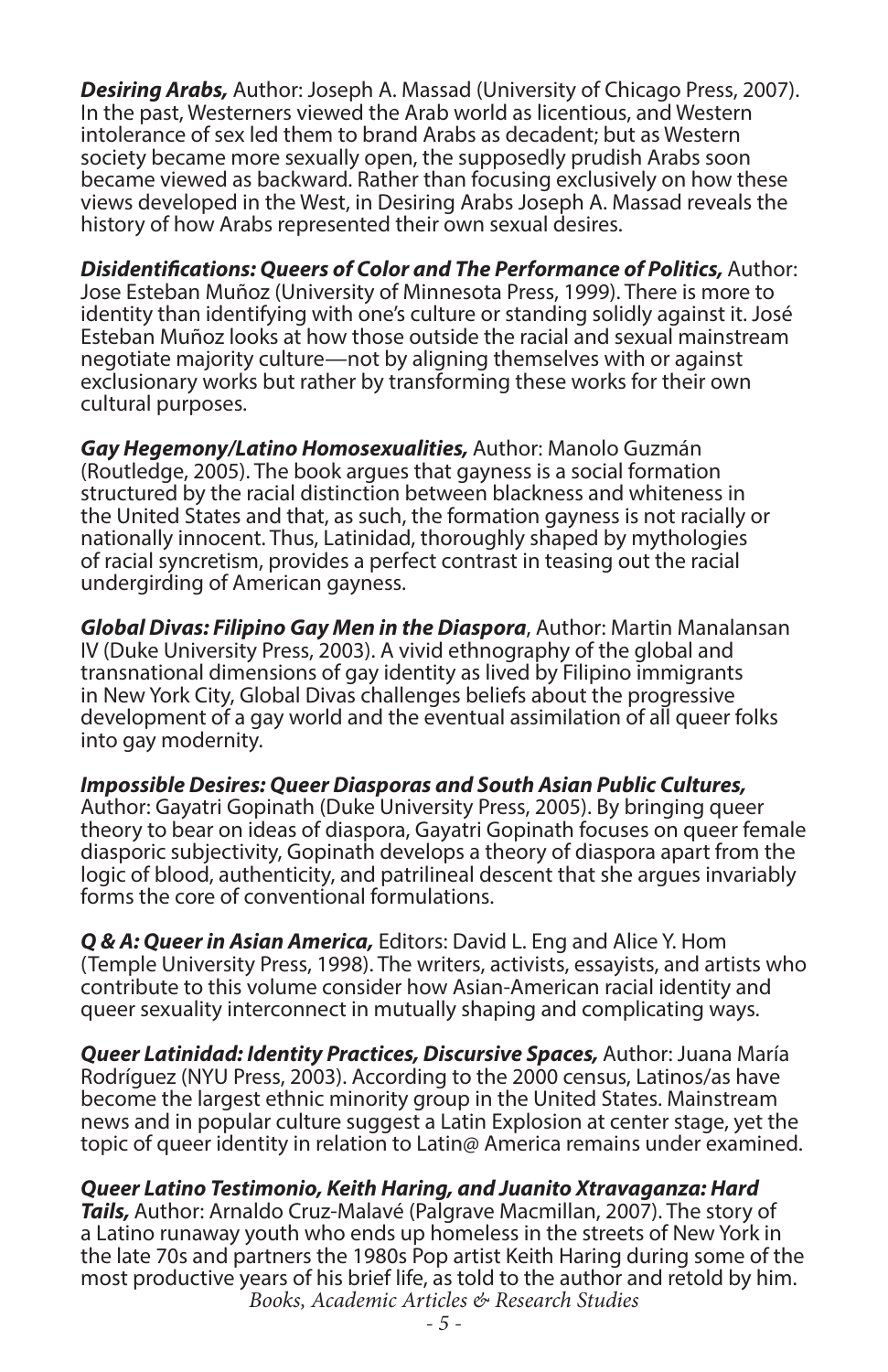*Desiring Arabs,* Author: Joseph A. Massad (University of Chicago Press, 2007). In the past, Westerners viewed the Arab world as licentious, and Western intolerance of sex led them to brand Arabs as decadent; but as Western society became more sexually open, the supposedly prudish Arabs soon became viewed as backward. Rather than focusing exclusively on how these views developed in the West, in Desiring Arabs Joseph A. Massad reveals the history of how Arabs represented their own sexual desires.

*Disidentifications: Queers of Color and The Performance of Politics,* Author: Jose Esteban Muñoz (University of Minnesota Press, 1999). There is more to identity than identifying with one's culture or standing solidly against it. José Esteban Muñoz looks at how those outside the racial and sexual mainstream negotiate majority culture—not by aligning themselves with or against exclusionary works but rather by transforming these works for their own cultural purposes.

*Gay Hegemony/Latino Homosexualities,* Author: Manolo Guzmán (Routledge, 2005). The book argues that gayness is a social formation structured by the racial distinction between blackness and whiteness in the United States and that, as such, the formation gayness is not racially or nationally innocent. Thus, Latinidad, thoroughly shaped by mythologies of racial syncretism, provides a perfect contrast in teasing out the racial undergirding of American gayness.

*Global Divas: Filipino Gay Men in the Diaspora*, Author: Martin Manalansan IV (Duke University Press, 2003). A vivid ethnography of the global and transnational dimensions of gay identity as lived by Filipino immigrants in New York City, Global Divas challenges beliefs about the progressive development of a gay world and the eventual assimilation of all queer folks into gay modernity.

*Impossible Desires: Queer Diasporas and South Asian Public Cultures,*

Author: Gayatri Gopinath (Duke University Press, 2005). By bringing queer theory to bear on ideas of diaspora, Gayatri Gopinath focuses on queer female diasporic subjectivity, Gopinath develops a theory of diaspora apart from the logic of blood, authenticity, and patrilineal descent that she argues invariably forms the core of conventional formulations.

*Q & A: Queer in Asian America,* Editors: David L. Eng and Alice Y. Hom (Temple University Press, 1998). The writers, activists, essayists, and artists who contribute to this volume consider how Asian-American racial identity and queer sexuality interconnect in mutually shaping and complicating ways.

*Queer Latinidad: Identity Practices, Discursive Spaces,* Author: Juana María Rodríguez (NYU Press, 2003). According to the 2000 census, Latinos/as have become the largest ethnic minority group in the United States. Mainstream news and in popular culture suggest a Latin Explosion at center stage, yet the topic of queer identity in relation to Latin@ America remains under examined.

*Queer Latino Testimonio, Keith Haring, and Juanito Xtravaganza: Hard Tails,* Author: Arnaldo Cruz-Malavé (Palgrave Macmillan, 2007). The story of a Latino runaway youth who ends up homeless in the streets of New York in the late 70s and partners the 1980s Pop artist Keith Haring during some of the most productive years of his brief life, as told to the author and retold by him. *Books, Academic Articles & Research Studies*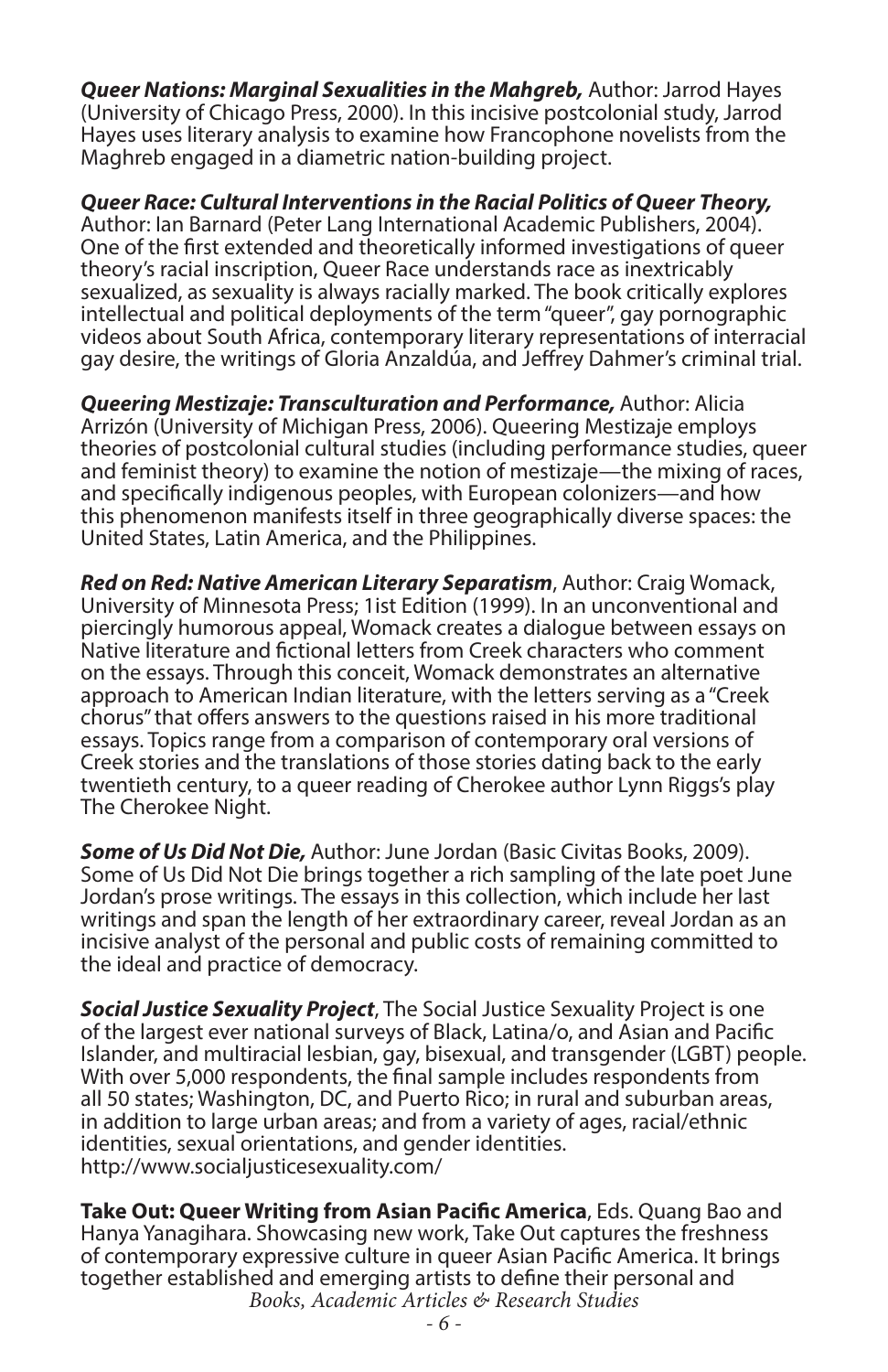*Queer Nations: Marginal Sexualities in the Mahgreb,* Author: Jarrod Hayes (University of Chicago Press, 2000). In this incisive postcolonial study, Jarrod Hayes uses literary analysis to examine how Francophone novelists from the Maghreb engaged in a diametric nation-building project.

*Queer Race: Cultural Interventions in the Racial Politics of Queer Theory,* Author: Ian Barnard (Peter Lang International Academic Publishers, 2004). One of the first extended and theoretically informed investigations of queer theory's racial inscription, Queer Race understands race as inextricably sexualized, as sexuality is always racially marked. The book critically explores intellectual and political deployments of the term "queer", gay pornographic videos about South Africa, contemporary literary representations of interracial gay desire, the writings of Gloria Anzaldúa, and Jeffrey Dahmer's criminal trial.

*Queering Mestizaje: Transculturation and Performance,* Author: Alicia Arrizón (University of Michigan Press, 2006). Queering Mestizaje employs theories of postcolonial cultural studies (including performance studies, queer and feminist theory) to examine the notion of mestizaje—the mixing of races, and specifically indigenous peoples, with European colonizers—and how this phenomenon manifests itself in three geographically diverse spaces: the United States, Latin America, and the Philippines.

*Red on Red: Native American Literary Separatism*, Author: Craig Womack, University of Minnesota Press; 1ist Edition (1999). In an unconventional and piercingly humorous appeal, Womack creates a dialogue between essays on Native literature and fictional letters from Creek characters who comment on the essays. Through this conceit, Womack demonstrates an alternative approach to American Indian literature, with the letters serving as a "Creek chorus" that offers answers to the questions raised in his more traditional essays. Topics range from a comparison of contemporary oral versions of Creek stories and the translations of those stories dating back to the early twentieth century, to a queer reading of Cherokee author Lynn Riggs's play The Cherokee Night.

*Some of Us Did Not Die,* Author: June Jordan (Basic Civitas Books, 2009). Some of Us Did Not Die brings together a rich sampling of the late poet June Jordan's prose writings. The essays in this collection, which include her last writings and span the length of her extraordinary career, reveal Jordan as an incisive analyst of the personal and public costs of remaining committed to the ideal and practice of democracy.

*Social Justice Sexuality Project*, The Social Justice Sexuality Project is one of the largest ever national surveys of Black, Latina/o, and Asian and Pacific Islander, and multiracial lesbian, gay, bisexual, and transgender (LGBT) people. With over 5,000 respondents, the final sample includes respondents from all 50 states; Washington, DC, and Puerto Rico; in rural and suburban areas, in addition to large urban areas; and from a variety of ages, racial/ethnic identities, sexual orientations, and gender identities. http://www.socialjusticesexuality.com/

**Take Out: Queer Writing from Asian Pacific America**, Eds. Quang Bao and Hanya Yanagihara. Showcasing new work, Take Out captures the freshness of contemporary expressive culture in queer Asian Pacific America. It brings together established and emerging artists to define their personal and *Books, Academic Articles & Research Studies*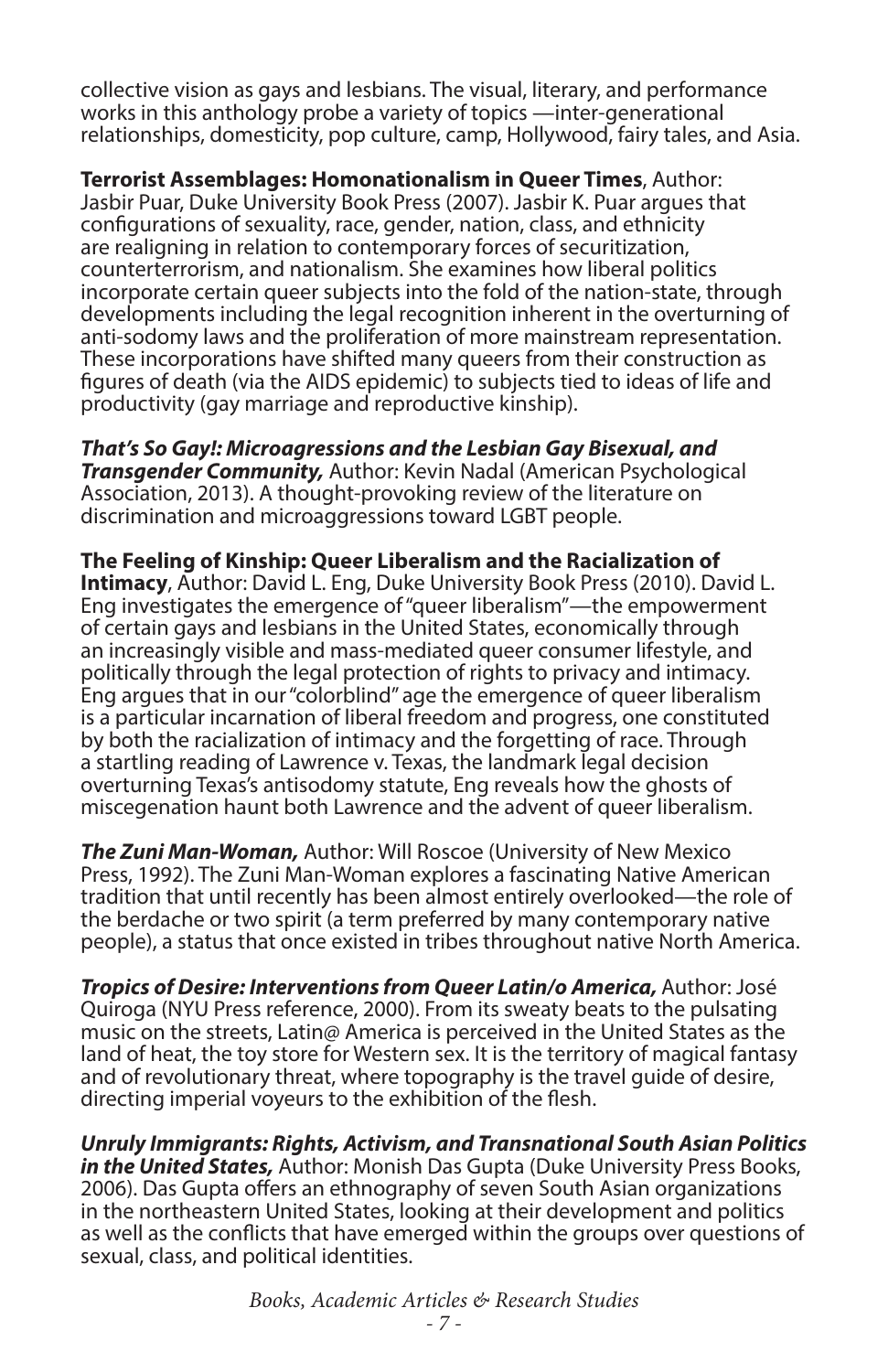collective vision as gays and lesbians. The visual, literary, and performance works in this anthology probe a variety of topics —inter-generational relationships, domesticity, pop culture, camp, Hollywood, fairy tales, and Asia.

**Terrorist Assemblages: Homonationalism in Queer Times**, Author: Jasbir Puar, Duke University Book Press (2007). Jasbir K. Puar argues that configurations of sexuality, race, gender, nation, class, and ethnicity are realigning in relation to contemporary forces of securitization, counterterrorism, and nationalism. She examines how liberal politics incorporate certain queer subjects into the fold of the nation-state, through developments including the legal recognition inherent in the overturning of anti-sodomy laws and the proliferation of more mainstream representation. These incorporations have shifted many queers from their construction as figures of death (via the AIDS epidemic) to subjects tied to ideas of life and productivity (gay marriage and reproductive kinship).

*That's So Gay!: Microagressions and the Lesbian Gay Bisexual, and Transgender Community,* Author: Kevin Nadal (American Psychological Association, 2013). A thought-provoking review of the literature on discrimination and microaggressions toward LGBT people.

**The Feeling of Kinship: Queer Liberalism and the Racialization of Intimacy**, Author: David L. Eng, Duke University Book Press (2010). David L. Eng investigates the emergence of "queer liberalism"—the empowerment of certain gays and lesbians in the United States, economically through an increasingly visible and mass-mediated queer consumer lifestyle, and politically through the legal protection of rights to privacy and intimacy. Eng argues that in our "colorblind" age the emergence of queer liberalism is a particular incarnation of liberal freedom and progress, one constituted by both the racialization of intimacy and the forgetting of race. Through a startling reading of Lawrence v. Texas, the landmark legal decision overturning Texas's antisodomy statute, Eng reveals how the ghosts of miscegenation haunt both Lawrence and the advent of queer liberalism.

*The Zuni Man-Woman,* Author: Will Roscoe (University of New Mexico Press, 1992). The Zuni Man-Woman explores a fascinating Native American tradition that until recently has been almost entirely overlooked—the role of the berdache or two spirit (a term preferred by many contemporary native people), a status that once existed in tribes throughout native North America.

*Tropics of Desire: Interventions from Queer Latin/o America,* Author: José Quiroga (NYU Press reference, 2000). From its sweaty beats to the pulsating music on the streets, Latin@ America is perceived in the United States as the land of heat, the toy store for Western sex. It is the territory of magical fantasy and of revolutionary threat, where topography is the travel guide of desire, directing imperial voyeurs to the exhibition of the flesh.

*Unruly Immigrants: Rights, Activism, and Transnational South Asian Politics in the United States,* Author: Monish Das Gupta (Duke University Press Books, 2006). Das Gupta offers an ethnography of seven South Asian organizations in the northeastern United States, looking at their development and politics as well as the conflicts that have emerged within the groups over questions of sexual, class, and political identities.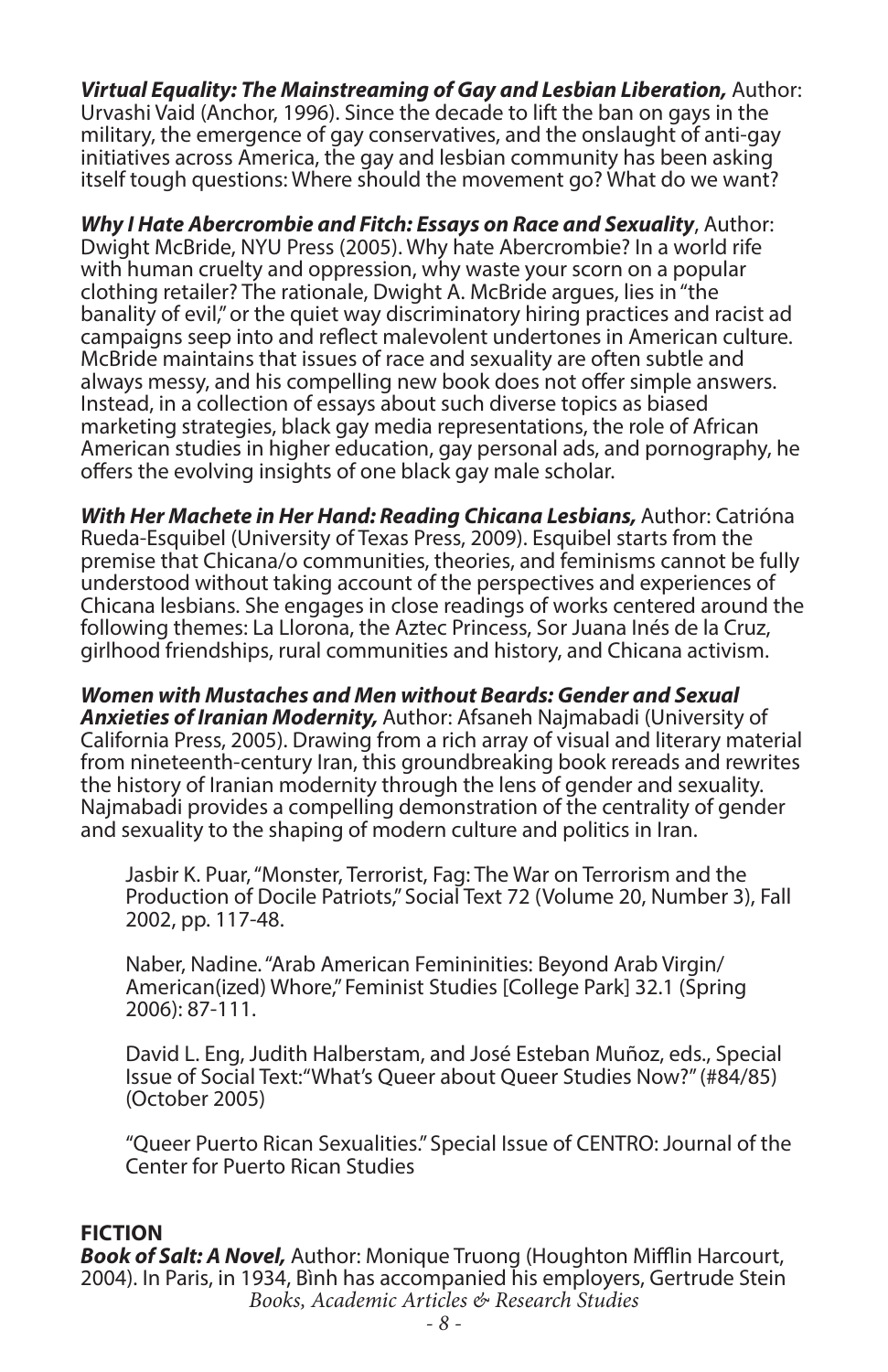*Virtual Equality: The Mainstreaming of Gay and Lesbian Liberation,* Author: Urvashi Vaid (Anchor, 1996). Since the decade to lift the ban on gays in the military, the emergence of gay conservatives, and the onslaught of anti-gay initiatives across America, the gay and lesbian community has been asking itself tough questions: Where should the movement go? What do we want?

*Why I Hate Abercrombie and Fitch: Essays on Race and Sexuality*, Author: Dwight McBride, NYU Press (2005). Why hate Abercrombie? In a world rife with human cruelty and oppression, why waste your scorn on a popular clothing retailer? The rationale, Dwight A. McBride argues, lies in "the banality of evil," or the quiet way discriminatory hiring practices and racist ad campaigns seep into and reflect malevolent undertones in American culture. McBride maintains that issues of race and sexuality are often subtle and always messy, and his compelling new book does not offer simple answers. Instead, in a collection of essays about such diverse topics as biased marketing strategies, black gay media representations, the role of African American studies in higher education, gay personal ads, and pornography, he offers the evolving insights of one black gay male scholar.

*With Her Machete in Her Hand: Reading Chicana Lesbians,* Author: Catrióna Rueda-Esquibel (University of Texas Press, 2009). Esquibel starts from the premise that Chicana/o communities, theories, and feminisms cannot be fully understood without taking account of the perspectives and experiences of Chicana lesbians. She engages in close readings of works centered around the following themes: La Llorona, the Aztec Princess, Sor Juana Inés de la Cruz, girlhood friendships, rural communities and history, and Chicana activism.

*Women with Mustaches and Men without Beards: Gender and Sexual Anxieties of Iranian Modernity,* Author: Afsaneh Najmabadi (University of California Press, 2005). Drawing from a rich array of visual and literary material from nineteenth-century Iran, this groundbreaking book rereads and rewrites the history of Iranian modernity through the lens of gender and sexuality. Najmabadi provides a compelling demonstration of the centrality of gender and sexuality to the shaping of modern culture and politics in Iran.

Jasbir K. Puar, "Monster, Terrorist, Fag: The War on Terrorism and the Production of Docile Patriots," Social Text 72 (Volume 20, Number 3), Fall 2002, pp. 117-48.

Naber, Nadine. "Arab American Femininities: Beyond Arab Virgin/ American(ized) Whore," Feminist Studies [College Park] 32.1 (Spring 2006): 87-111.

David L. Eng, Judith Halberstam, and José Esteban Muñoz, eds., Special Issue of Social Text:"What's Queer about Queer Studies Now?" (#84/85) (October 2005)

"Queer Puerto Rican Sexualities." Special Issue of CENTRO: Journal of the Center for Puerto Rican Studies

#### **FICTION**

*Book of Salt: A Novel,* Author: Monique Truong (Houghton Mifflin Harcourt, 2004). In Paris, in 1934, Bình has accompanied his employers, Gertrude Stein *Books, Academic Articles & Research Studies*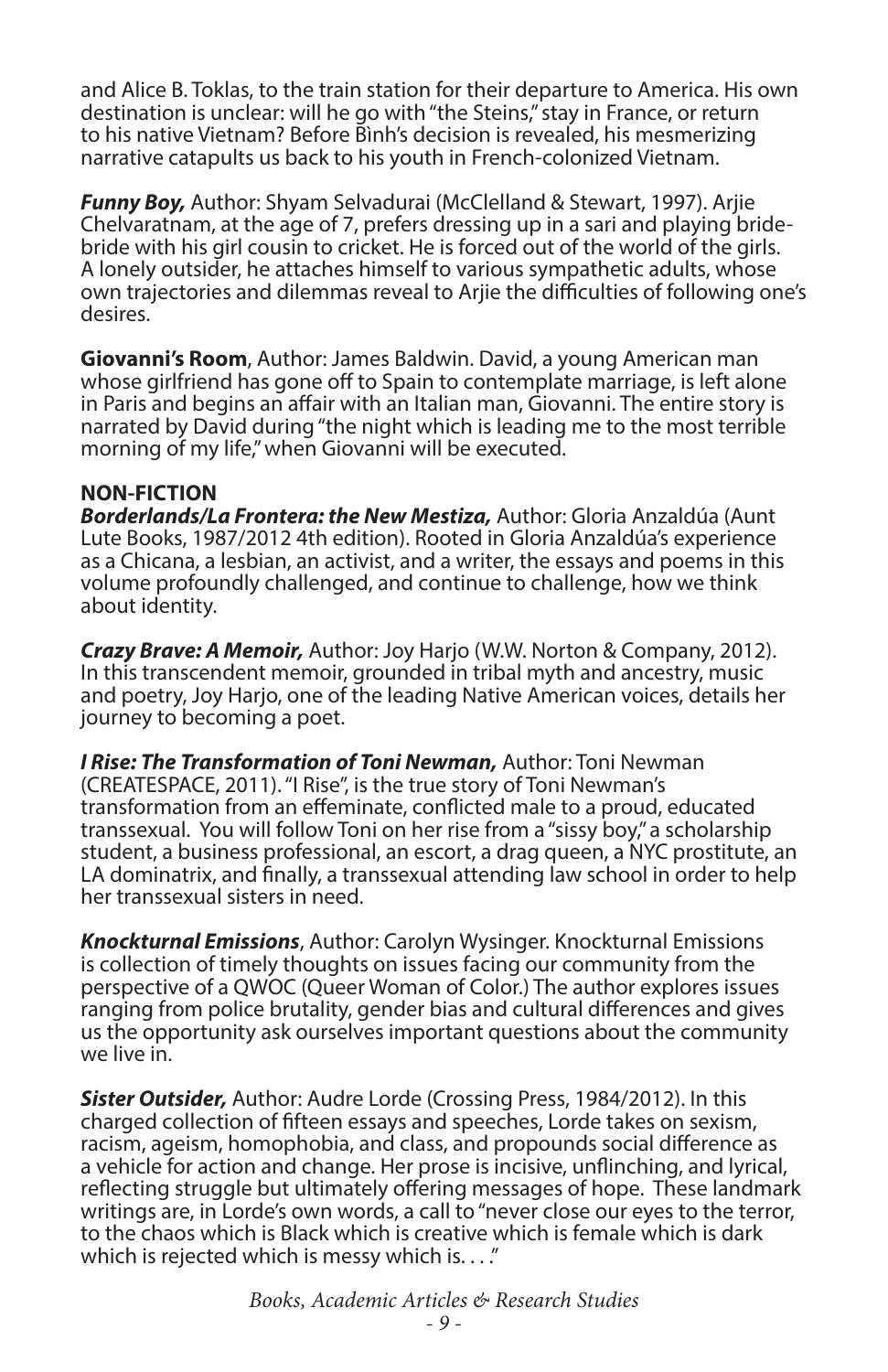and Alice B. Toklas, to the train station for their departure to America. His own destination is unclear: will he go with "the Steins," stay in France, or return to his native Vietnam? Before Bình's decision is revealed, his mesmerizing narrative catapults us back to his youth in French-colonized Vietnam.

*Funny Boy,* Author: Shyam Selvadurai (McClelland & Stewart, 1997). Arjie Chelvaratnam, at the age of 7, prefers dressing up in a sari and playing bridebride with his girl cousin to cricket. He is forced out of the world of the girls. A lonely outsider, he attaches himself to various sympathetic adults, whose own trajectories and dilemmas reveal to Arjie the difficulties of following one's desires.

**Giovanni's Room**, Author: James Baldwin. David, a young American man whose girlfriend has gone off to Spain to contemplate marriage, is left alone in Paris and begins an affair with an Italian man, Giovanni. The entire story is narrated by David during "the night which is leading me to the most terrible morning of my life," when Giovanni will be executed.

#### **NON-FICTION**

*Borderlands/La Frontera: the New Mestiza,* Author: Gloria Anzaldúa (Aunt Lute Books, 1987/2012 4th edition). Rooted in Gloria Anzaldúa's experience as a Chicana, a lesbian, an activist, and a writer, the essays and poems in this volume profoundly challenged, and continue to challenge, how we think about identity.

*Crazy Brave: A Memoir,* Author: Joy Harjo (W.W. Norton & Company, 2012). In this transcendent memoir, grounded in tribal myth and ancestry, music and poetry, Joy Harjo, one of the leading Native American voices, details her journey to becoming a poet.

*I Rise: The Transformation of Toni Newman,* Author: Toni Newman (CREATESPACE, 2011). "I Rise", is the true story of Toni Newman's transformation from an effeminate, conflicted male to a proud, educated transsexual. You will follow Toni on her rise from a "sissy boy," a scholarship student, a business professional, an escort, a drag queen, a NYC prostitute, an LA dominatrix, and finally, a transsexual attending law school in order to help her transsexual sisters in need.

*Knockturnal Emissions*, Author: Carolyn Wysinger. Knockturnal Emissions is collection of timely thoughts on issues facing our community from the perspective of a QWOC (Queer Woman of Color.) The author explores issues ranging from police brutality, gender bias and cultural differences and gives us the opportunity ask ourselves important questions about the community we live in.

*Sister Outsider,* Author: Audre Lorde (Crossing Press, 1984/2012). In this charged collection of fifteen essays and speeches, Lorde takes on sexism, racism, ageism, homophobia, and class, and propounds social difference as a vehicle for action and change. Her prose is incisive, unflinching, and lyrical, reflecting struggle but ultimately offering messages of hope. These landmark writings are, in Lorde's own words, a call to "never close our eyes to the terror, to the chaos which is Black which is creative which is female which is dark which is rejected which is messy which is. . . ."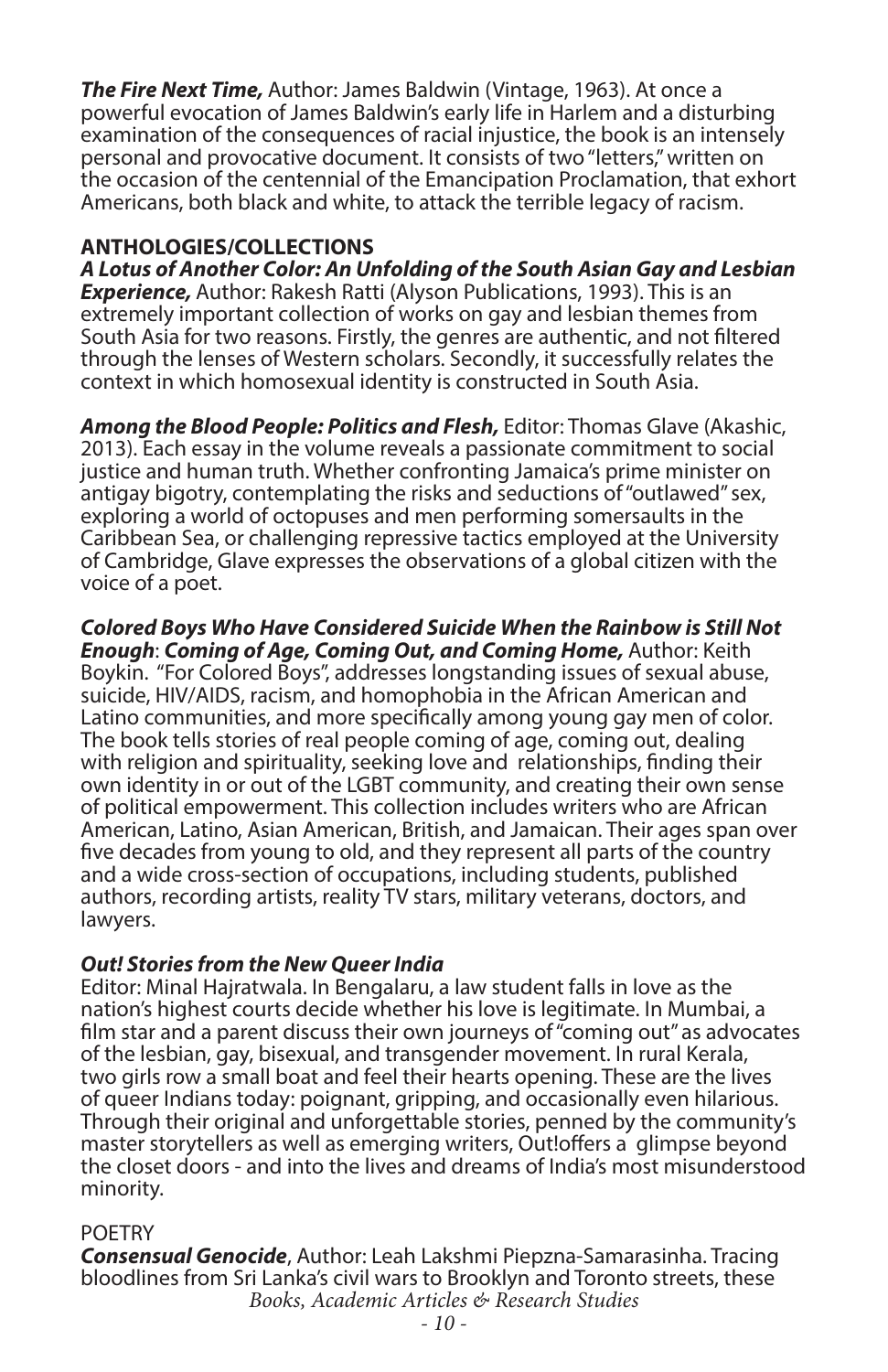*The Fire Next Time,* Author: James Baldwin (Vintage, 1963). At once a powerful evocation of James Baldwin's early life in Harlem and a disturbing examination of the consequences of racial injustice, the book is an intensely personal and provocative document. It consists of two "letters," written on the occasion of the centennial of the Emancipation Proclamation, that exhort Americans, both black and white, to attack the terrible legacy of racism.

#### **ANTHOLOGIES/COLLECTIONS**

*A Lotus of Another Color: An Unfolding of the South Asian Gay and Lesbian Experience,* Author: Rakesh Ratti (Alyson Publications, 1993). This is an extremely important collection of works on gay and lesbian themes from South Asia for two reasons. Firstly, the genres are authentic, and not filtered through the lenses of Western scholars. Secondly, it successfully relates the context in which homosexual identity is constructed in South Asia.

*Among the Blood People: Politics and Flesh,* Editor: Thomas Glave (Akashic, 2013). Each essay in the volume reveals a passionate commitment to social justice and human truth. Whether confronting Jamaica's prime minister on antigay bigotry, contemplating the risks and seductions of "outlawed" sex, exploring a world of octopuses and men performing somersaults in the Caribbean Sea, or challenging repressive tactics employed at the University of Cambridge, Glave expresses the observations of a global citizen with the voice of a poet.

*Colored Boys Who Have Considered Suicide When the Rainbow is Still Not Enough*: *Coming of Age, Coming Out, and Coming Home,* Author: Keith Boykin. "For Colored Boys", addresses longstanding issues of sexual abuse, suicide, HIV/AIDS, racism, and homophobia in the African American and Latino communities, and more specifically among young gay men of color. The book tells stories of real people coming of age, coming out, dealing with religion and spirituality, seeking love and relationships, finding their own identity in or out of the LGBT community, and creating their own sense of political empowerment. This collection includes writers who are African American, Latino, Asian American, British, and Jamaican. Their ages span over five decades from young to old, and they represent all parts of the country and a wide cross-section of occupations, including students, published authors, recording artists, reality TV stars, military veterans, doctors, and lawyers.

#### *Out! Stories from the New Queer India*

Editor: Minal Hajratwala. In Bengalaru, a law student falls in love as the nation's highest courts decide whether his love is legitimate. In Mumbai, a film star and a parent discuss their own journeys of "coming out" as advocates of the lesbian, gay, bisexual, and transgender movement. In rural Kerala, two girls row a small boat and feel their hearts opening. These are the lives of queer Indians today: poignant, gripping, and occasionally even hilarious. Through their original and unforgettable stories, penned by the community's master storytellers as well as emerging writers, Out!offers a glimpse beyond the closet doors - and into the lives and dreams of India's most misunderstood minority.

#### POETRY

*Consensual Genocide*, Author: Leah Lakshmi Piepzna-Samarasinha. Tracing bloodlines from Sri Lanka's civil wars to Brooklyn and Toronto streets, these *Books, Academic Articles & Research Studies*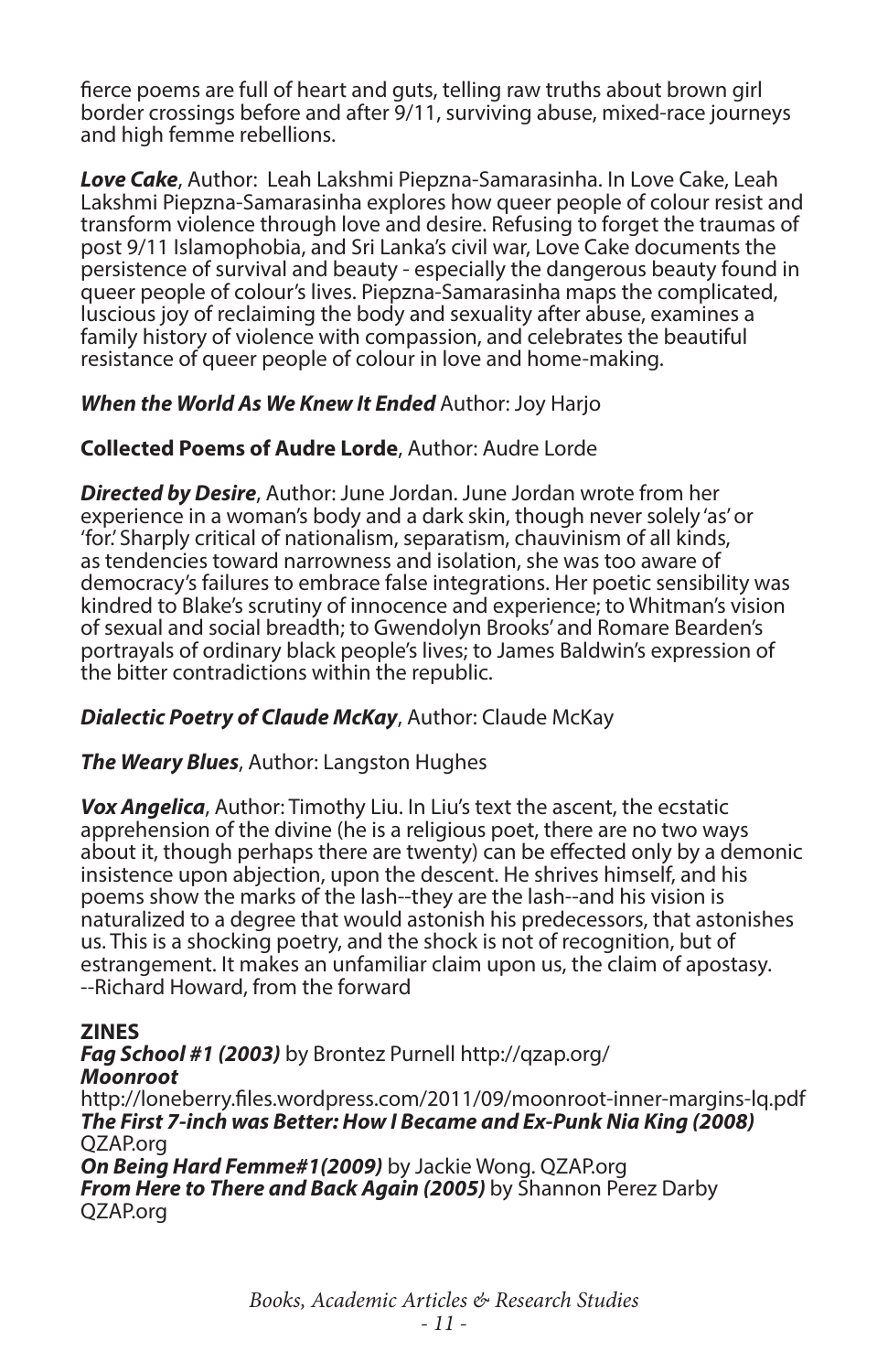fierce poems are full of heart and guts, telling raw truths about brown girl border crossings before and after 9/11, surviving abuse, mixed-race journeys and high femme rebellions.

*Love Cake*, Author: Leah Lakshmi Piepzna-Samarasinha. In Love Cake, Leah Lakshmi Piepzna-Samarasinha explores how queer people of colour resist and transform violence through love and desire. Refusing to forget the traumas of post 9/11 Islamophobia, and Sri Lanka's civil war, Love Cake documents the persistence of survival and beauty - especially the dangerous beauty found in queer people of colour's lives. Piepzna-Samarasinha maps the complicated, luscious joy of reclaiming the body and sexuality after abuse, examines a family history of violence with compassion, and celebrates the beautiful resistance of queer people of colour in love and home-making.

#### *When the World As We Knew It Ended* Author: Joy Harjo

#### **Collected Poems of Audre Lorde**, Author: Audre Lorde

*Directed by Desire*, Author: June Jordan. June Jordan wrote from her experience in a woman's body and a dark skin, though never solely 'as' or 'for.' Sharply critical of nationalism, separatism, chauvinism of all kinds, as tendencies toward narrowness and isolation, she was too aware of democracy's failures to embrace false integrations. Her poetic sensibility was kindred to Blake's scrutiny of innocence and experience; to Whitman's vision of sexual and social breadth; to Gwendolyn Brooks' and Romare Bearden's portrayals of ordinary black people's lives; to James Baldwin's expression of the bitter contradictions within the republic.

#### *Dialectic Poetry of Claude McKay*, Author: Claude McKay

#### *The Weary Blues*, Author: Langston Hughes

*Vox Angelica*, Author: Timothy Liu. In Liu's text the ascent, the ecstatic apprehension of the divine (he is a religious poet, there are no two ways about it, though perhaps there are twenty) can be effected only by a demonic insistence upon abjection, upon the descent. He shrives himself, and his poems show the marks of the lash--they are the lash--and his vision is naturalized to a degree that would astonish his predecessors, that astonishes us. This is a shocking poetry, and the shock is not of recognition, but of estrangement. It makes an unfamiliar claim upon us, the claim of apostasy. --Richard Howard, from the forward

#### **ZINES**

#### *Fag School #1 (2003)* by Brontez Purnell http://qzap.org/ *Moonroot*  http://loneberry.files.wordpress.com/2011/09/moonroot-inner-margins-lq.pdf *The First 7-inch was Better: How I Became and Ex-Punk Nia King (2008)* QZAP.org *On Being Hard Femme#1(2009)* by Jackie Wong. QZAP.org

*From Here to There and Back Again (2005)* by Shannon Perez Darby QZAP.org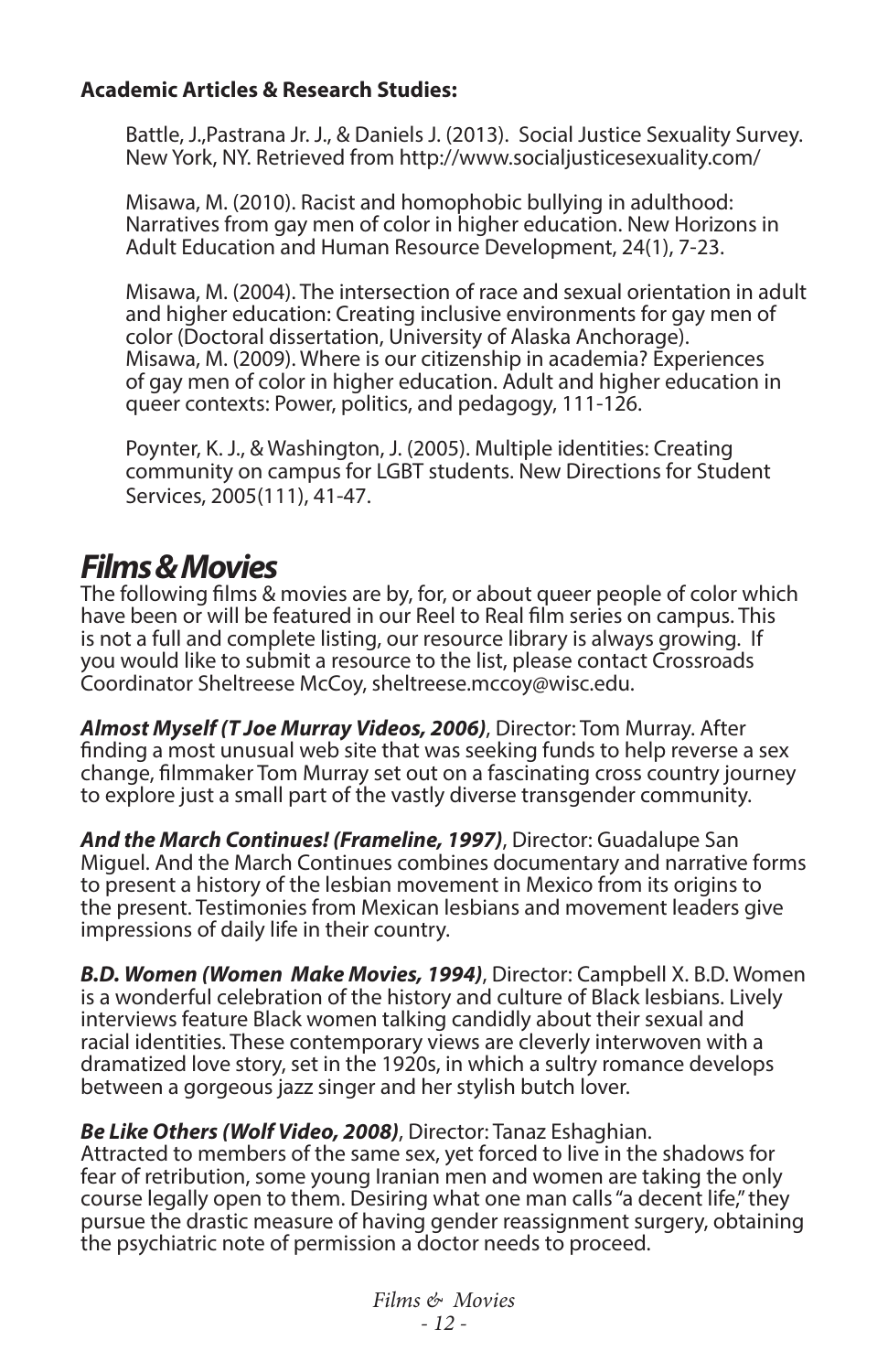#### **Academic Articles & Research Studies:**

Battle, J.,Pastrana Jr. J., & Daniels J. (2013). Social Justice Sexuality Survey. New York, NY. Retrieved from http://www.socialjusticesexuality.com/

Misawa, M. (2010). Racist and homophobic bullying in adulthood: Narratives from gay men of color in higher education. New Horizons in Adult Education and Human Resource Development, 24(1), 7-23.

Misawa, M. (2004). The intersection of race and sexual orientation in adult and higher education: Creating inclusive environments for gay men of color (Doctoral dissertation, University of Alaska Anchorage). Misawa, M. (2009). Where is our citizenship in academia? Experiences of gay men of color in higher education. Adult and higher education in queer contexts: Power, politics, and pedagogy, 111-126.

Poynter, K. J., & Washington, J. (2005). Multiple identities: Creating community on campus for LGBT students. New Directions for Student Services, 2005(111), 41-47.

## *Films & Movies*

The following films & movies are by, for, or about queer people of color which have been or will be featured in our Reel to Real film series on campus. This is not a full and complete listing, our resource library is always growing. If you would like to submit a resource to the list, please contact Crossroads Coordinator Sheltreese McCoy, sheltreese.mccoy@wisc.edu.

*Almost Myself (T Joe Murray Videos, 2006)*, Director: Tom Murray. After finding a most unusual web site that was seeking funds to help reverse a sex change, filmmaker Tom Murray set out on a fascinating cross country journey to explore just a small part of the vastly diverse transgender community.

*And the March Continues! (Frameline, 1997)*, Director: Guadalupe San Miguel. And the March Continues combines documentary and narrative forms to present a history of the lesbian movement in Mexico from its origins to the present. Testimonies from Mexican lesbians and movement leaders give impressions of daily life in their country.

*B.D. Women (Women Make Movies, 1994)*, Director: Campbell X. B.D. Women is a wonderful celebration of the history and culture of Black lesbians. Lively interviews feature Black women talking candidly about their sexual and racial identities. These contemporary views are cleverly interwoven with a dramatized love story, set in the 1920s, in which a sultry romance develops between a gorgeous jazz singer and her stylish butch lover.

#### *Be Like Others (Wolf Video, 2008)*, Director: Tanaz Eshaghian.

Attracted to members of the same sex, yet forced to live in the shadows for fear of retribution, some young Iranian men and women are taking the only course legally open to them. Desiring what one man calls "a decent life," they pursue the drastic measure of having gender reassignment surgery, obtaining the psychiatric note of permission a doctor needs to proceed.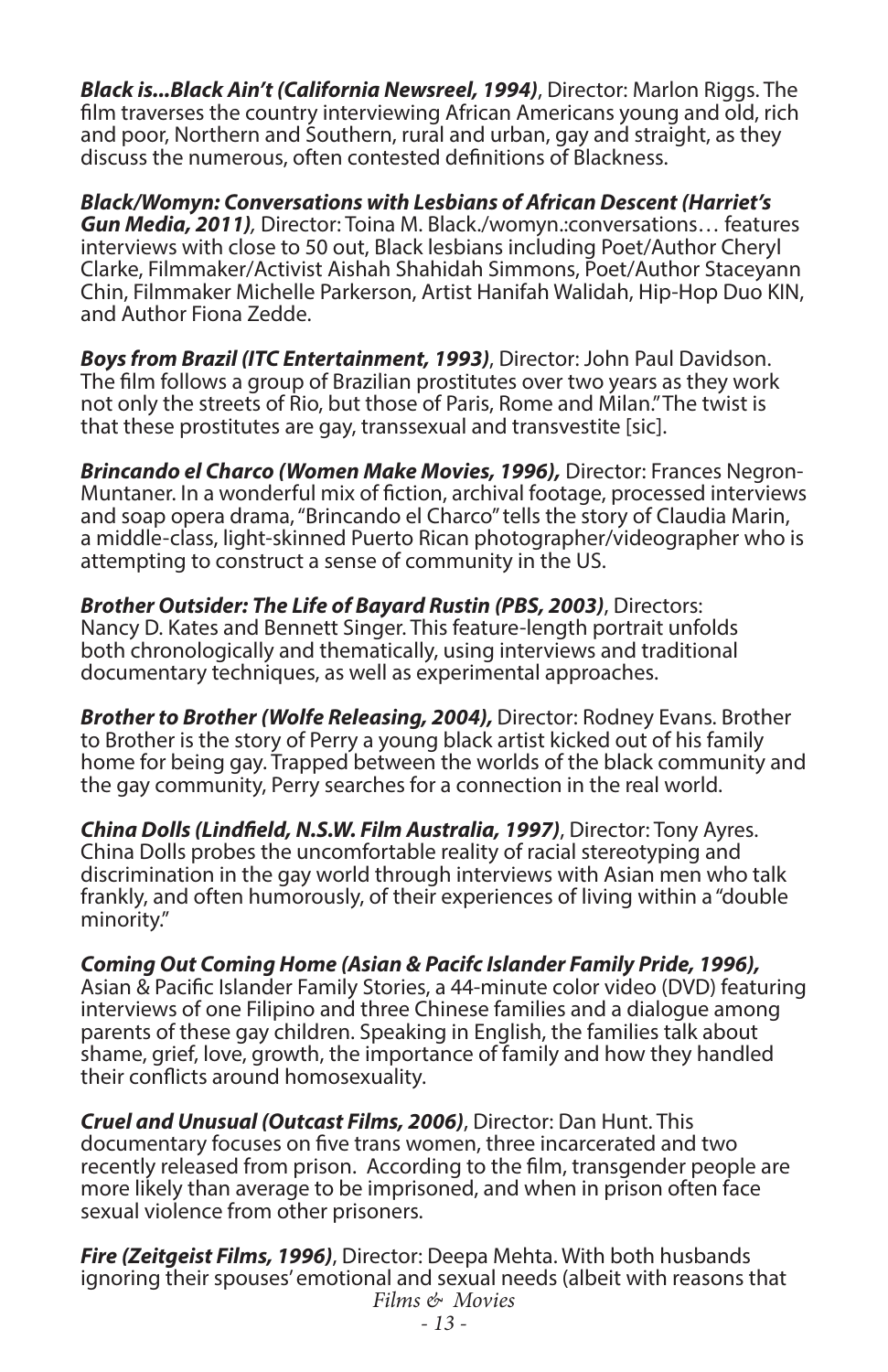*Black is...Black Ain't (California Newsreel, 1994)*, Director: Marlon Riggs. The film traverses the country interviewing African Americans young and old, rich and poor, Northern and Southern, rural and urban, gay and straight, as they discuss the numerous, often contested definitions of Blackness.

*Black/Womyn: Conversations with Lesbians of African Descent (Harriet's Gun Media, 2011),* Director: Toina M. Black./womyn.:conversations… features interviews with close to 50 out, Black lesbians including Poet/Author Cheryl Clarke, Filmmaker/Activist Aishah Shahidah Simmons, Poet/Author Staceyann Chin, Filmmaker Michelle Parkerson, Artist Hanifah Walidah, Hip-Hop Duo KIN, and Author Fiona Zedde.

*Boys from Brazil (ITC Entertainment, 1993)*, Director: John Paul Davidson. The film follows a group of Brazilian prostitutes over two years as they work not only the streets of Rio, but those of Paris, Rome and Milan." The twist is that these prostitutes are gay, transsexual and transvestite [sic].

*Brincando el Charco (Women Make Movies, 1996),* Director: Frances Negron-Muntaner. In a wonderful mix of fiction, archival footage, processed interviews and soap opera drama, "Brincando el Charco" tells the story of Claudia Marin, a middle-class, light-skinned Puerto Rican photographer/videographer who is attempting to construct a sense of community in the US.

*Brother Outsider: The Life of Bayard Rustin (PBS, 2003)*, Directors: Nancy D. Kates and Bennett Singer. This feature-length portrait unfolds both chronologically and thematically, using interviews and traditional documentary techniques, as well as experimental approaches.

*Brother to Brother (Wolfe Releasing, 2004),* Director: Rodney Evans. Brother to Brother is the story of Perry a young black artist kicked out of his family home for being gay. Trapped between the worlds of the black community and the gay community, Perry searches for a connection in the real world.

*China Dolls (Lindfield, N.S.W. Film Australia, 1997)*, Director: Tony Ayres. China Dolls probes the uncomfortable reality of racial stereotyping and discrimination in the gay world through interviews with Asian men who talk frankly, and often humorously, of their experiences of living within a "double minority."

*Coming Out Coming Home (Asian & Pacifc Islander Family Pride, 1996),*  Asian & Pacific Islander Family Stories, a 44-minute color video (DVD) featuring interviews of one Filipino and three Chinese families and a dialogue among parents of these gay children. Speaking in English, the families talk about shame, grief, love, growth, the importance of family and how they handled their conflicts around homosexuality.

*Cruel and Unusual (Outcast Films, 2006)*, Director: Dan Hunt. This documentary focuses on five trans women, three incarcerated and two recently released from prison. According to the film, transgender people are more likely than average to be imprisoned, and when in prison often face sexual violence from other prisoners.

*Fire (Zeitgeist Films, 1996)*, Director: Deepa Mehta. With both husbands ignoring their spouses' emotional and sexual needs (albeit with reasons that *Films & Movies*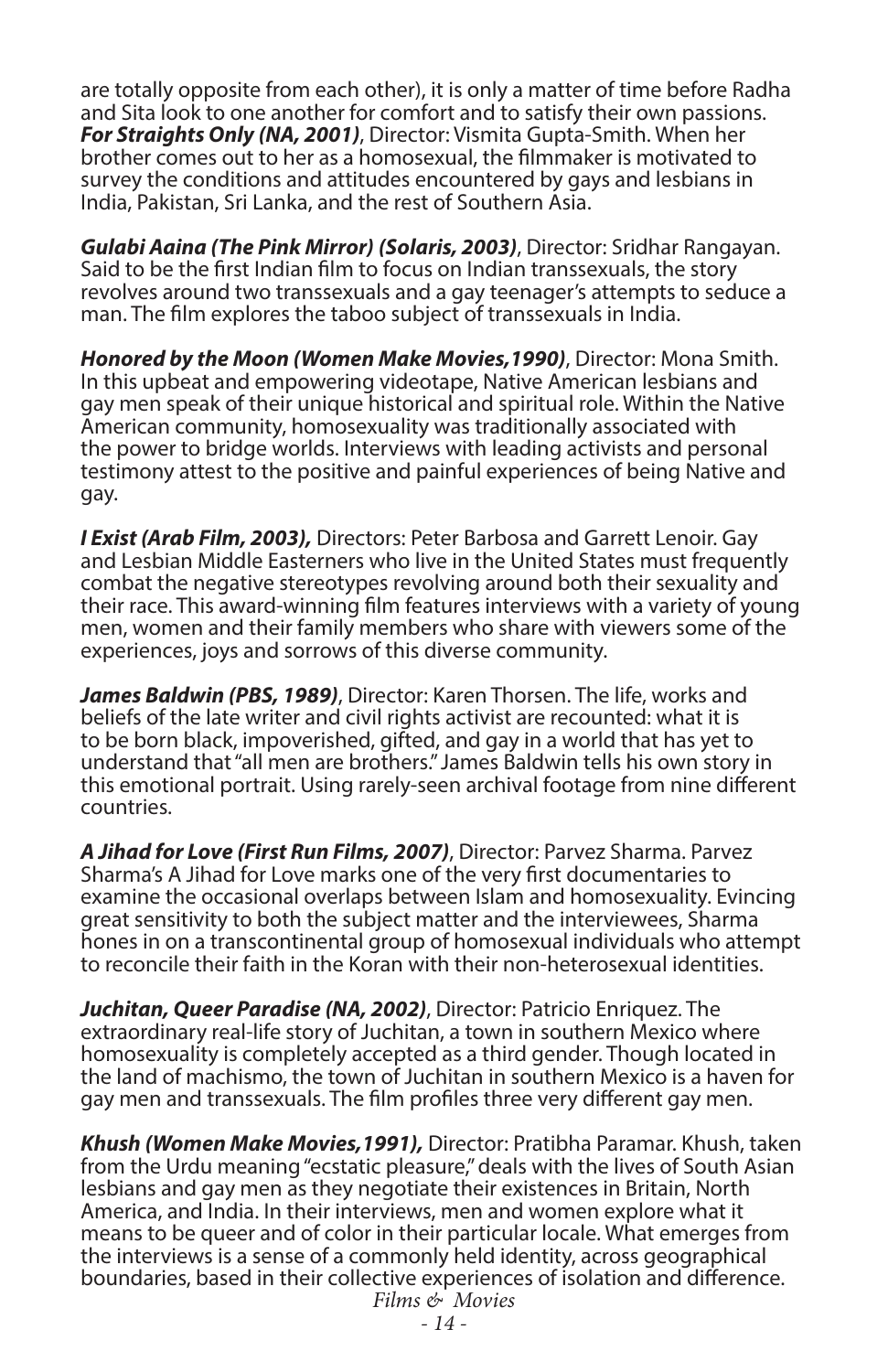are totally opposite from each other), it is only a matter of time before Radha and Sita look to one another for comfort and to satisfy their own passions. *For Straights Only (NA, 2001)*, Director: Vismita Gupta-Smith. When her brother comes out to her as a homosexual, the filmmaker is motivated to survey the conditions and attitudes encountered by gays and lesbians in India, Pakistan, Sri Lanka, and the rest of Southern Asia.

*Gulabi Aaina (The Pink Mirror) (Solaris, 2003)*, Director: Sridhar Rangayan. Said to be the first Indian film to focus on Indian transsexuals, the story revolves around two transsexuals and a gay teenager's attempts to seduce a man. The film explores the taboo subject of transsexuals in India.

*Honored by the Moon (Women Make Movies,1990)*, Director: Mona Smith. In this upbeat and empowering videotape, Native American lesbians and gay men speak of their unique historical and spiritual role. Within the Native American community, homosexuality was traditionally associated with the power to bridge worlds. Interviews with leading activists and personal testimony attest to the positive and painful experiences of being Native and gay.

*I Exist (Arab Film, 2003),* Directors: Peter Barbosa and Garrett Lenoir. Gay and Lesbian Middle Easterners who live in the United States must frequently combat the negative stereotypes revolving around both their sexuality and their race. This award-winning film features interviews with a variety of young men, women and their family members who share with viewers some of the experiences, joys and sorrows of this diverse community.

*James Baldwin (PBS, 1989)*, Director: Karen Thorsen. The life, works and beliefs of the late writer and civil rights activist are recounted: what it is to be born black, impoverished, gifted, and gay in a world that has yet to understand that "all men are brothers." James Baldwin tells his own story in this emotional portrait. Using rarely-seen archival footage from nine different countries.

*A Jihad for Love (First Run Films, 2007)*, Director: Parvez Sharma. Parvez Sharma's A Jihad for Love marks one of the very first documentaries to examine the occasional overlaps between Islam and homosexuality. Evincing great sensitivity to both the subject matter and the interviewees, Sharma hones in on a transcontinental group of homosexual individuals who attempt to reconcile their faith in the Koran with their non-heterosexual identities.

*Juchitan, Queer Paradise (NA, 2002)*, Director: Patricio Enriquez. The extraordinary real-life story of Juchitan, a town in southern Mexico where homosexuality is completely accepted as a third gender. Though located in the land of machismo, the town of Juchitan in southern Mexico is a haven for gay men and transsexuals. The film profiles three very different gay men.

*Khush (Women Make Movies,1991),* Director: Pratibha Paramar. Khush, taken from the Urdu meaning "ecstatic pleasure," deals with the lives of South Asian lesbians and gay men as they negotiate their existences in Britain, North America, and India. In their interviews, men and women explore what it means to be queer and of color in their particular locale. What emerges from the interviews is a sense of a commonly held identity, across geographical boundaries, based in their collective experiences of isolation and difference. *Films & Movies*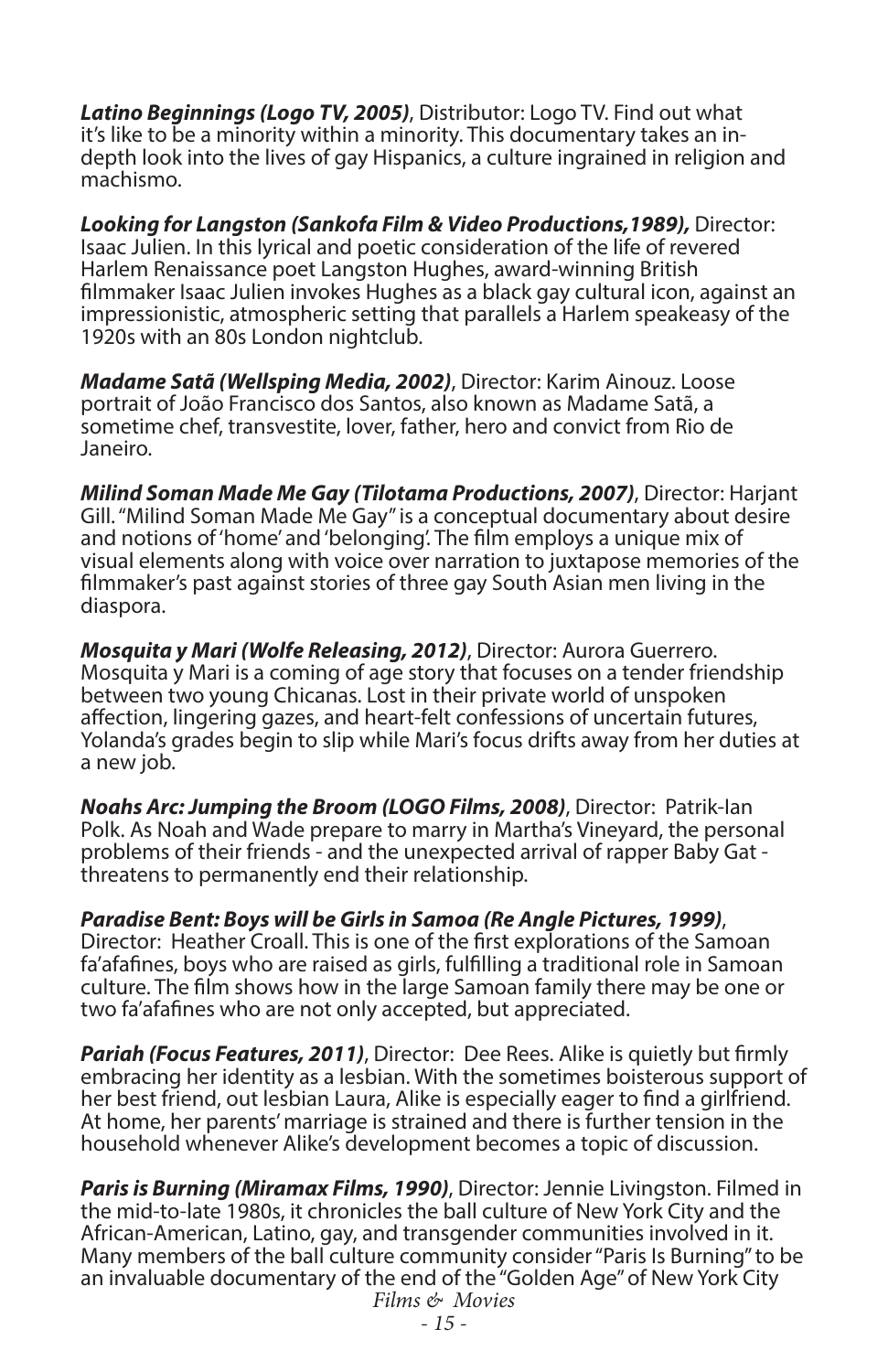*Latino Beginnings (Logo TV, 2005)*, Distributor: Logo TV. Find out what it's like to be a minority within a minority. This documentary takes an indepth look into the lives of gay Hispanics, a culture ingrained in religion and machismo.

*Looking for Langston (Sankofa Film & Video Productions,1989),* Director: Isaac Julien. In this lyrical and poetic consideration of the life of revered Harlem Renaissance poet Langston Hughes, award-winning British filmmaker Isaac Julien invokes Hughes as a black gay cultural icon, against an impressionistic, atmospheric setting that parallels a Harlem speakeasy of the 1920s with an 80s London nightclub.

*Madame Satã (Wellsping Media, 2002)*, Director: Karim Ainouz. Loose portrait of João Francisco dos Santos, also known as Madame Satã, a sometime chef, transvestite, lover, father, hero and convict from Rio de Janeiro.

*Milind Soman Made Me Gay (Tilotama Productions, 2007)*, Director: Harjant Gill. "Milind Soman Made Me Gay" is a conceptual documentary about desire and notions of 'home' and 'belonging'. The film employs a unique mix of visual elements along with voice over narration to juxtapose memories of the filmmaker's past against stories of three gay South Asian men living in the diaspora.

*Mosquita y Mari (Wolfe Releasing, 2012)*, Director: Aurora Guerrero. Mosquita y Mari is a coming of age story that focuses on a tender friendship between two young Chicanas. Lost in their private world of unspoken affection, lingering gazes, and heart-felt confessions of uncertain futures, Yolanda's grades begin to slip while Mari's focus drifts away from her duties at a new job.

*Noahs Arc: Jumping the Broom (LOGO Films, 2008)*, Director: Patrik-Ian Polk. As Noah and Wade prepare to marry in Martha's Vineyard, the personal problems of their friends - and the unexpected arrival of rapper Baby Gat threatens to permanently end their relationship.

*Paradise Bent: Boys will be Girls in Samoa (Re Angle Pictures, 1999)*, Director: Heather Croall. This is one of the first explorations of the Samoan fa'afafines, boys who are raised as girls, fulfilling a traditional role in Samoan culture. The film shows how in the large Samoan family there may be one or two fa'afafines who are not only accepted, but appreciated.

**Pariah (Focus Features, 2011)**, Director: Dee Rees. Alike is quietly but firmly embracing her identity as a lesbian. With the sometimes boisterous support of her best friend, out lesbian Laura, Alike is especially eager to find a girlfriend. At home, her parents' marriage is strained and there is further tension in the household whenever Alike's development becomes a topic of discussion.

*Paris is Burning (Miramax Films, 1990)*, Director: Jennie Livingston. Filmed in the mid-to-late 1980s, it chronicles the ball culture of New York City and the African-American, Latino, gay, and transgender communities involved in it. Many members of the ball culture community consider "Paris Is Burning" to be an invaluable documentary of the end of the "Golden Age" of New York City *Films & Movies*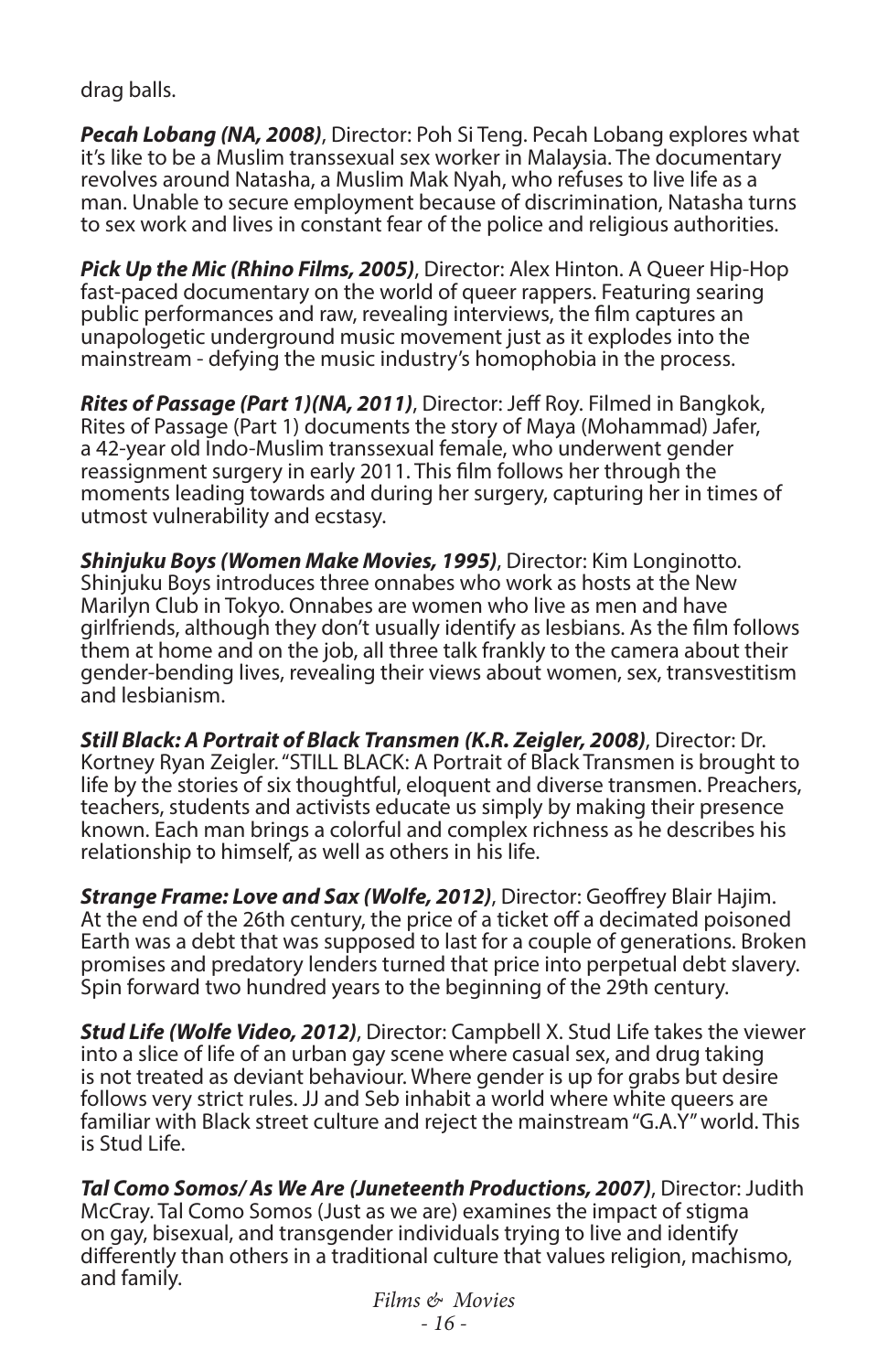drag balls.

*Pecah Lobang (NA, 2008)*, Director: Poh Si Teng. Pecah Lobang explores what it's like to be a Muslim transsexual sex worker in Malaysia. The documentary revolves around Natasha, a Muslim Mak Nyah, who refuses to live life as a man. Unable to secure employment because of discrimination, Natasha turns to sex work and lives in constant fear of the police and religious authorities.

*Pick Up the Mic (Rhino Films, 2005)*, Director: Alex Hinton. A Queer Hip-Hop fast-paced documentary on the world of queer rappers. Featuring searing public performances and raw, revealing interviews, the film captures an unapologetic underground music movement just as it explodes into the mainstream - defying the music industry's homophobia in the process.

*Rites of Passage (Part 1)(NA, 2011)*, Director: Jeff Roy. Filmed in Bangkok, Rites of Passage (Part 1) documents the story of Maya (Mohammad) Jafer, a 42-year old Indo-Muslim transsexual female, who underwent gender reassignment surgery in early 2011. This film follows her through the moments leading towards and during her surgery, capturing her in times of utmost vulnerability and ecstasy.

*Shinjuku Boys (Women Make Movies, 1995)*, Director: Kim Longinotto. Shinjuku Boys introduces three onnabes who work as hosts at the New Marilyn Club in Tokyo. Onnabes are women who live as men and have girlfriends, although they don't usually identify as lesbians. As the film follows them at home and on the job, all three talk frankly to the camera about their gender-bending lives, revealing their views about women, sex, transvestitism and lesbianism.

*Still Black: A Portrait of Black Transmen (K.R. Zeigler, 2008)*, Director: Dr. Kortney Ryan Zeigler. "STILL BLACK: A Portrait of Black Transmen is brought to life by the stories of six thoughtful, eloquent and diverse transmen. Preachers, teachers, students and activists educate us simply by making their presence known. Each man brings a colorful and complex richness as he describes his relationship to himself, as well as others in his life.

*Strange Frame: Love and Sax (Wolfe, 2012)*, Director: Geoffrey Blair Hajim. At the end of the 26th century, the price of a ticket off a decimated poisoned Earth was a debt that was supposed to last for a couple of generations. Broken promises and predatory lenders turned that price into perpetual debt slavery. Spin forward two hundred years to the beginning of the 29th century.

*Stud Life (Wolfe Video, 2012)*, Director: Campbell X. Stud Life takes the viewer into a slice of life of an urban gay scene where casual sex, and drug taking is not treated as deviant behaviour. Where gender is up for grabs but desire follows very strict rules. JJ and Seb inhabit a world where white queers are familiar with Black street culture and reject the mainstream "G.A.Y" world. This is Stud Life.

*Tal Como Somos/ As We Are (Juneteenth Productions, 2007)*, Director: Judith McCray. Tal Como Somos (Just as we are) examines the impact of stigma on gay, bisexual, and transgender individuals trying to live and identify differently than others in a traditional culture that values religion, machismo, and family.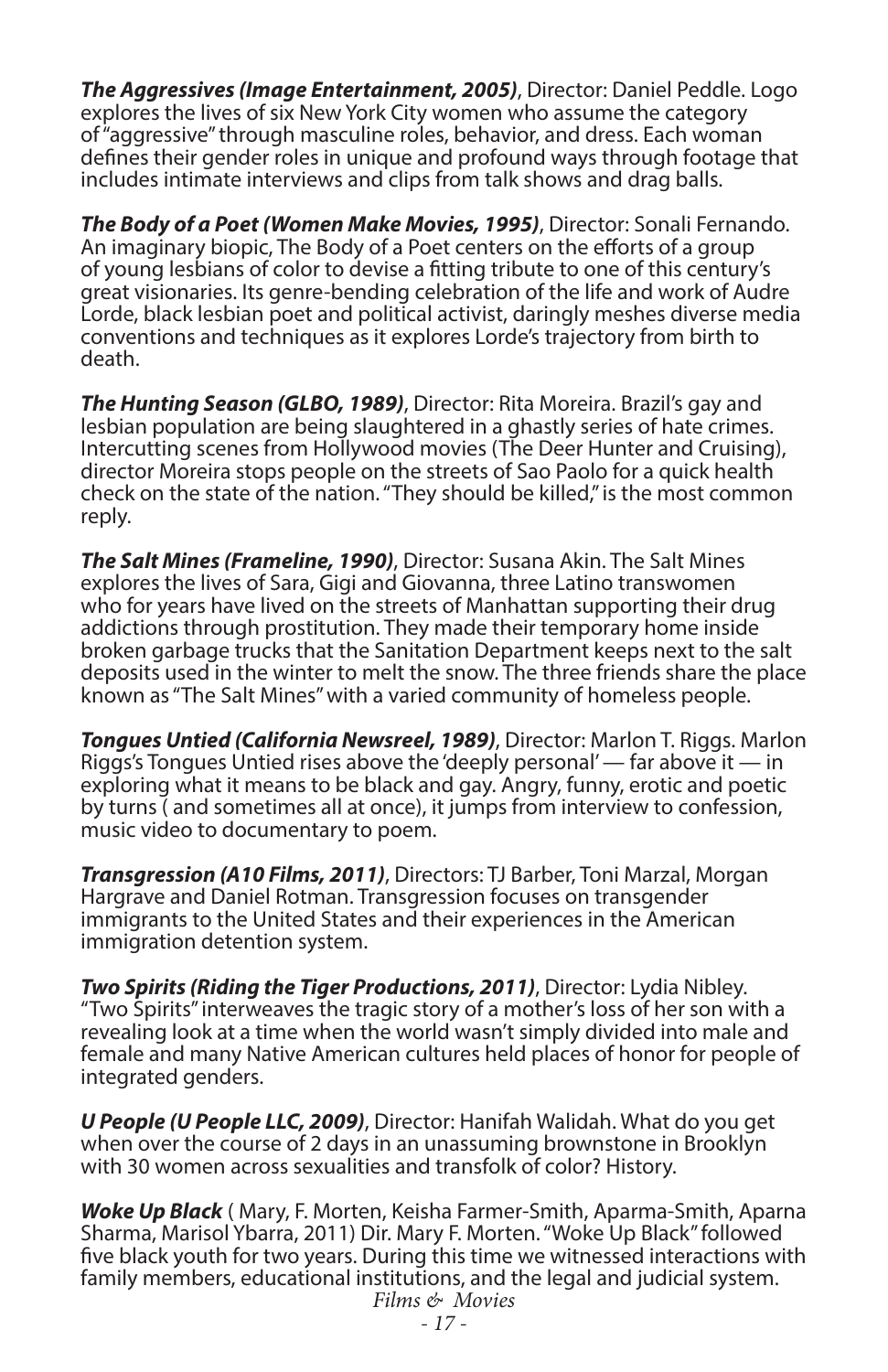*The Aggressives (Image Entertainment, 2005)*, Director: Daniel Peddle. Logo explores the lives of six New York City women who assume the category of "aggressive" through masculine roles, behavior, and dress. Each woman defines their gender roles in unique and profound ways through footage that includes intimate interviews and clips from talk shows and drag balls.

*The Body of a Poet (Women Make Movies, 1995)*, Director: Sonali Fernando. An imaginary biopic, The Body of a Poet centers on the efforts of a group of young lesbians of color to devise a fitting tribute to one of this century's great visionaries. Its genre-bending celebration of the life and work of Audre Lorde, black lesbian poet and political activist, daringly meshes diverse media conventions and techniques as it explores Lorde's trajectory from birth to death.

*The Hunting Season (GLBO, 1989)*, Director: Rita Moreira. Brazil's gay and lesbian population are being slaughtered in a ghastly series of hate crimes. Intercutting scenes from Hollywood movies (The Deer Hunter and Cruising), director Moreira stops people on the streets of Sao Paolo for a quick health check on the state of the nation. "They should be killed," is the most common reply.

*The Salt Mines (Frameline, 1990)*, Director: Susana Akin. The Salt Mines explores the lives of Sara, Gigi and Giovanna, three Latino transwomen who for years have lived on the streets of Manhattan supporting their drug addictions through prostitution. They made their temporary home inside broken garbage trucks that the Sanitation Department keeps next to the salt deposits used in the winter to melt the snow. The three friends share the place known as "The Salt Mines" with a varied community of homeless people.

*Tongues Untied (California Newsreel, 1989)*, Director: Marlon T. Riggs. Marlon Riggs's Tongues Untied rises above the 'deeply personal' — far above it — in exploring what it means to be black and gay. Angry, funny, erotic and poetic by turns ( and sometimes all at once), it jumps from interview to confession, music video to documentary to poem.

*Transgression (A10 Films, 2011)*, Directors: TJ Barber, Toni Marzal, Morgan Hargrave and Daniel Rotman. Transgression focuses on transgender immigrants to the United States and their experiences in the American immigration detention system.

*Two Spirits (Riding the Tiger Productions, 2011)*, Director: Lydia Nibley. "Two Spirits" interweaves the tragic story of a mother's loss of her son with a revealing look at a time when the world wasn't simply divided into male and female and many Native American cultures held places of honor for people of integrated genders.

*U People (U People LLC, 2009)*, Director: Hanifah Walidah. What do you get when over the course of 2 days in an unassuming brownstone in Brooklyn with 30 women across sexualities and transfolk of color? History.

*Woke Up Black* ( Mary, F. Morten, Keisha Farmer-Smith, Aparma-Smith, Aparna Sharma, Marisol Ybarra, 2011) Dir. Mary F. Morten. "Woke Up Black" followed five black youth for two years. During this time we witnessed interactions with family members, educational institutions, and the legal and judicial system. *Films & Movies*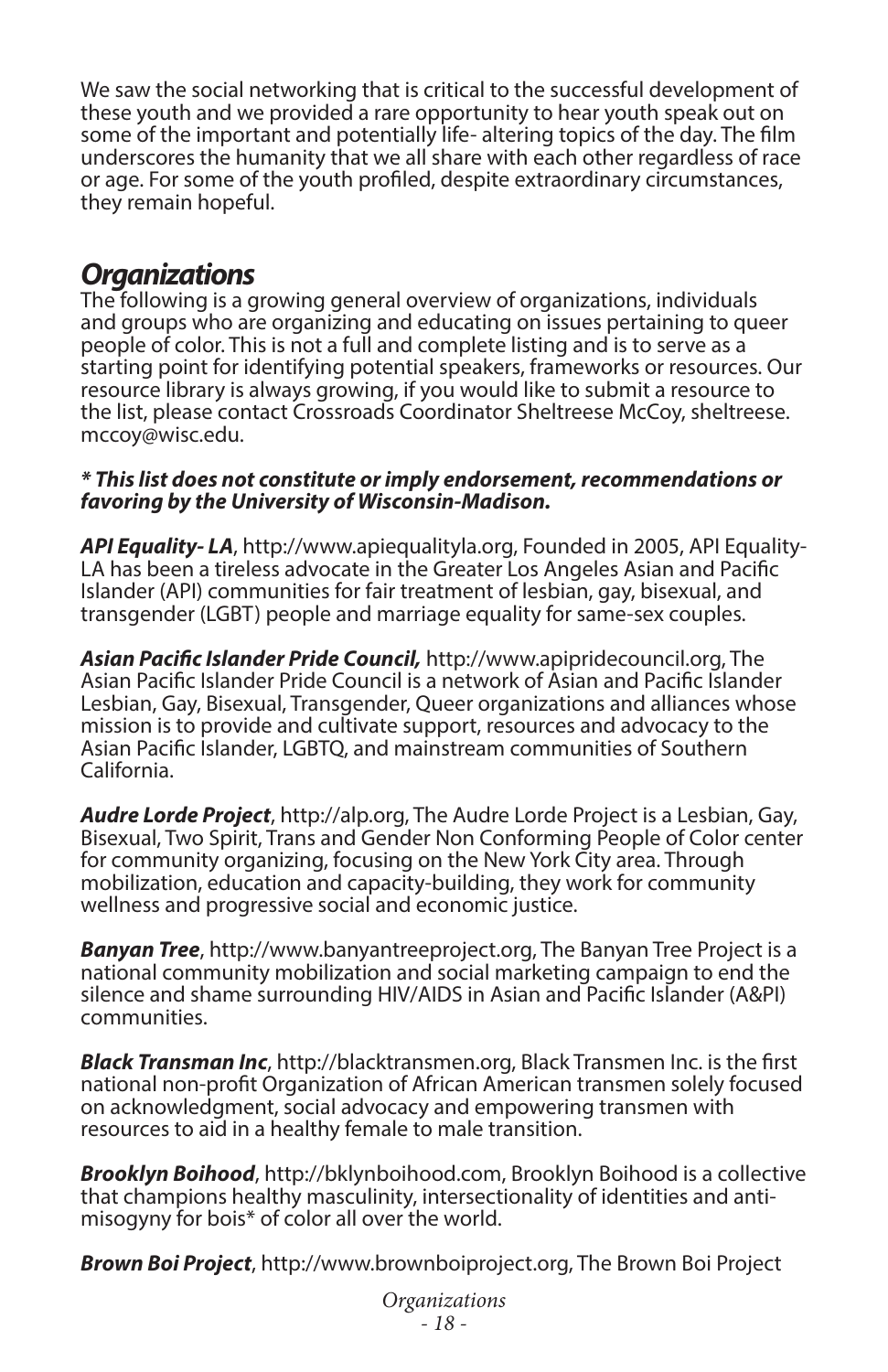We saw the social networking that is critical to the successful development of these youth and we provided a rare opportunity to hear youth speak out on some of the important and potentially life- altering topics of the day. The film underscores the humanity that we all share with each other regardless of race or age. For some of the youth profiled, despite extraordinary circumstances, they remain hopeful.

### *Organizations*

The following is a growing general overview of organizations, individuals and groups who are organizing and educating on issues pertaining to queer people of color. This is not a full and complete listing and is to serve as a starting point for identifying potential speakers, frameworks or resources. Our resource library is always growing, if you would like to submit a resource to the list, please contact Crossroads Coordinator Sheltreese McCoy, sheltreese. mccoy@wisc.edu.

#### *\* This list does not constitute or imply endorsement, recommendations or favoring by the University of Wisconsin-Madison.*

*API Equality- LA*, http://www.apiequalityla.org, Founded in 2005, API Equality-LA has been a tireless advocate in the Greater Los Angeles Asian and Pacific Islander (API) communities for fair treatment of lesbian, gay, bisexual, and transgender (LGBT) people and marriage equality for same-sex couples.

*Asian Pacific Islander Pride Council,* http://www.apipridecouncil.org, The Asian Pacific Islander Pride Council is a network of Asian and Pacific Islander Lesbian, Gay, Bisexual, Transgender, Queer organizations and alliances whose mission is to provide and cultivate support, resources and advocacy to the Asian Pacific Islander, LGBTQ, and mainstream communities of Southern California.

*Audre Lorde Project*, http://alp.org, The Audre Lorde Project is a Lesbian, Gay, Bisexual, Two Spirit, Trans and Gender Non Conforming People of Color center for community organizing, focusing on the New York City area. Through mobilization, education and capacity-building, they work for community wellness and progressive social and economic justice.

*Banyan Tree*, http://www.banyantreeproject.org, The Banyan Tree Project is a national community mobilization and social marketing campaign to end the silence and shame surrounding HIV/AIDS in Asian and Pacific Islander (A&PI) communities.

*Black Transman Inc*, http://blacktransmen.org, Black Transmen Inc. is the first national non-profit Organization of African American transmen solely focused on acknowledgment, social advocacy and empowering transmen with resources to aid in a healthy female to male transition.

*Brooklyn Boihood*, http://bklynboihood.com, Brooklyn Boihood is a collective that champions healthy masculinity, intersectionality of identities and antimisogyny for bois\* of color all over the world.

*Brown Boi Project*, http://www.brownboiproject.org, The Brown Boi Project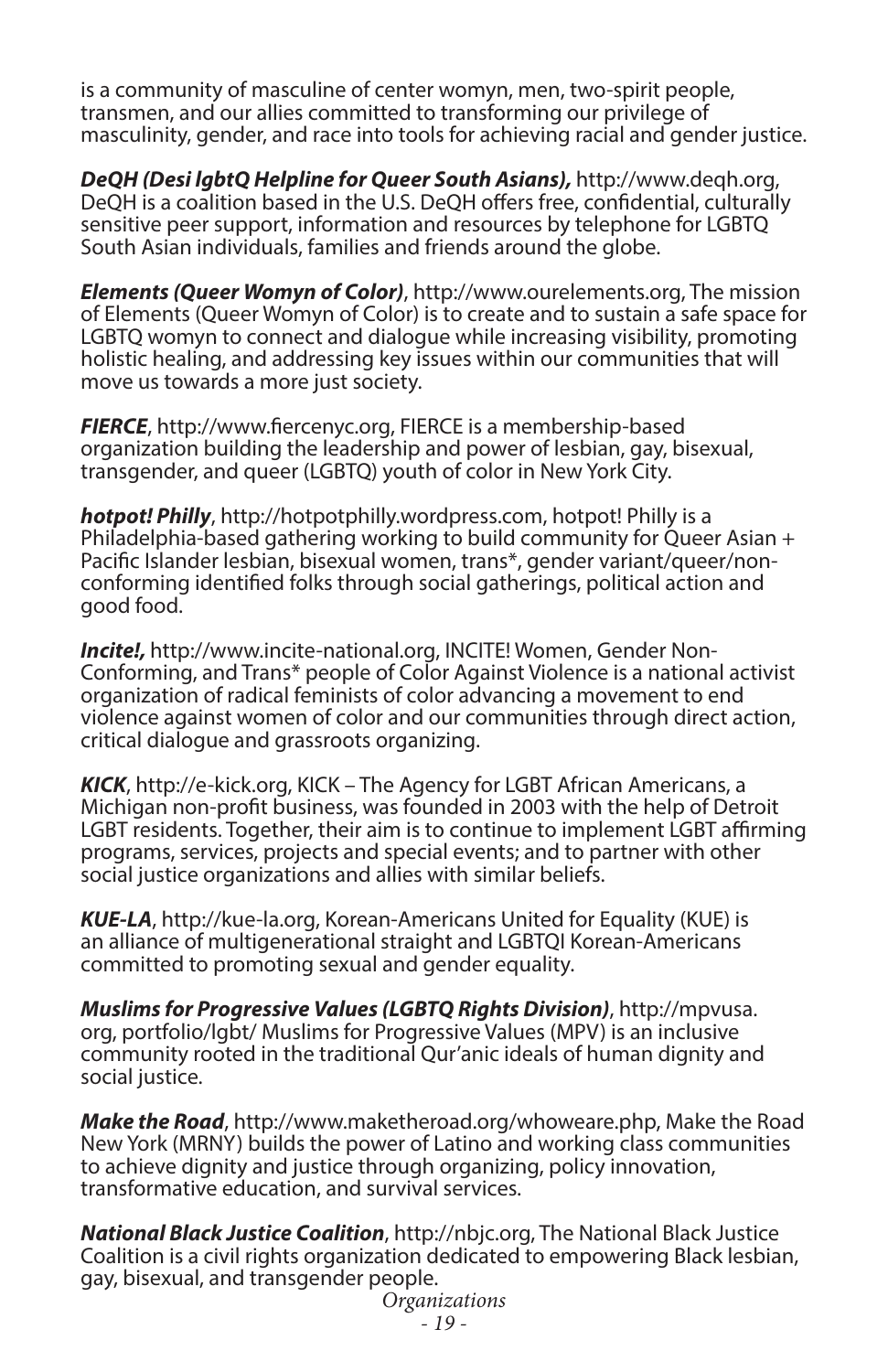is a community of masculine of center womyn, men, two-spirit people, transmen, and our allies committed to transforming our privilege of masculinity, gender, and race into tools for achieving racial and gender justice.

*DeQH (Desi lgbtQ Helpline for Queer South Asians),* http://www.deqh.org, DeQH is a coalition based in the U.S. DeQH offers free, confidential, culturally sensitive peer support, information and resources by telephone for LGBTQ South Asian individuals, families and friends around the globe.

*Elements (Queer Womyn of Color)*, http://www.ourelements.org, The mission of Elements (Queer Womyn of Color) is to create and to sustain a safe space for LGBTQ womyn to connect and dialogue while increasing visibility, promoting holistic healing, and addressing key issues within our communities that will move us towards a more just society.

*FIERCE*, http://www.fiercenyc.org, FIERCE is a membership-based organization building the leadership and power of lesbian, gay, bisexual, transgender, and queer (LGBTQ) youth of color in New York City.

*hotpot! Philly*, http://hotpotphilly.wordpress.com, hotpot! Philly is a Philadelphia-based gathering working to build community for Queer Asian + Pacific Islander lesbian, bisexual women, trans\*, gender variant/queer/nonconforming identified folks through social gatherings, political action and good food.

*Incite!,* http://www.incite-national.org, INCITE! Women, Gender Non-Conforming, and Trans\* people of Color Against Violence is a national activist organization of radical feminists of color advancing a movement to end violence against women of color and our communities through direct action, critical dialogue and grassroots organizing.

*KICK*, http://e-kick.org, KICK – The Agency for LGBT African Americans, a Michigan non-profit business, was founded in 2003 with the help of Detroit LGBT residents. Together, their aim is to continue to implement LGBT affirming programs, services, projects and special events; and to partner with other social justice organizations and allies with similar beliefs.

*KUE-LA*, http://kue-la.org, Korean-Americans United for Equality (KUE) is an alliance of multigenerational straight and LGBTQI Korean-Americans committed to promoting sexual and gender equality.

*Muslims for Progressive Values (LGBTQ Rights Division)*, http://mpvusa. org, portfolio/lgbt/ Muslims for Progressive Values (MPV) is an inclusive community rooted in the traditional Qur'anic ideals of human dignity and social justice.

*Make the Road*, http://www.maketheroad.org/whoweare.php, Make the Road New York (MRNY) builds the power of Latino and working class communities to achieve dignity and justice through organizing, policy innovation, transformative education, and survival services.

*National Black Justice Coalition*, http://nbjc.org, The National Black Justice Coalition is a civil rights organization dedicated to empowering Black lesbian, gay, bisexual, and transgender people.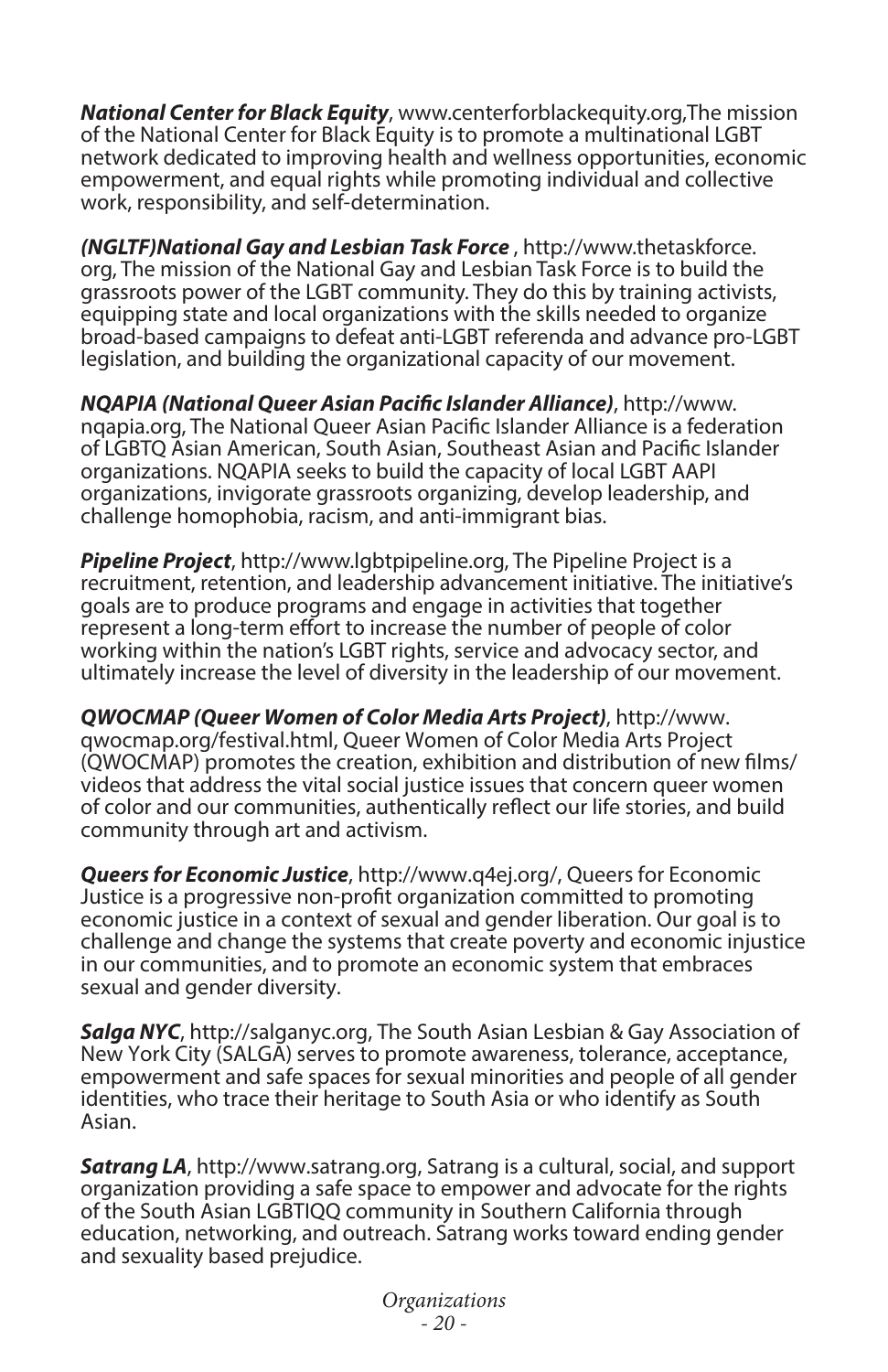*National Center for Black Equity*, www.centerforblackequity.org,The mission of the National Center for Black Equity is to promote a multinational LGBT network dedicated to improving health and wellness opportunities, economic empowerment, and equal rights while promoting individual and collective work, responsibility, and self-determination.

*(NGLTF)National Gay and Lesbian Task Force* , http://www.thetaskforce. org, The mission of the National Gay and Lesbian Task Force is to build the grassroots power of the LGBT community. They do this by training activists, equipping state and local organizations with the skills needed to organize broad-based campaigns to defeat anti-LGBT referenda and advance pro-LGBT legislation, and building the organizational capacity of our movement.

*NQAPIA (National Queer Asian Pacific Islander Alliance)*, http://www. nqapia.org, The National Queer Asian Pacific Islander Alliance is a federation of LGBTQ Asian American, South Asian, Southeast Asian and Pacific Islander organizations. NQAPIA seeks to build the capacity of local LGBT AAPI organizations, invigorate grassroots organizing, develop leadership, and challenge homophobia, racism, and anti-immigrant bias.

*Pipeline Project*, http://www.lgbtpipeline.org, The Pipeline Project is a recruitment, retention, and leadership advancement initiative. The initiative's goals are to produce programs and engage in activities that together represent a long-term effort to increase the number of people of color working within the nation's LGBT rights, service and advocacy sector, and ultimately increase the level of diversity in the leadership of our movement.

*QWOCMAP (Queer Women of Color Media Arts Project)*, http://www. qwocmap.org/festival.html, Queer Women of Color Media Arts Project (QWOCMAP) promotes the creation, exhibition and distribution of new films/ videos that address the vital social justice issues that concern queer women of color and our communities, authentically reflect our life stories, and build community through art and activism.

*Queers for Economic Justice*, http://www.q4ej.org/, Queers for Economic Justice is a progressive non-profit organization committed to promoting economic justice in a context of sexual and gender liberation. Our goal is to challenge and change the systems that create poverty and economic injustice in our communities, and to promote an economic system that embraces sexual and gender diversity.

*Salga NYC*, http://salganyc.org, The South Asian Lesbian & Gay Association of New York City (SALGA) serves to promote awareness, tolerance, acceptance, empowerment and safe spaces for sexual minorities and people of all gender identities, who trace their heritage to South Asia or who identify as South Asian.

*Satrang LA*, http://www.satrang.org, Satrang is a cultural, social, and support organization providing a safe space to empower and advocate for the rights of the South Asian LGBTIQQ community in Southern California through education, networking, and outreach. Satrang works toward ending gender and sexuality based prejudice.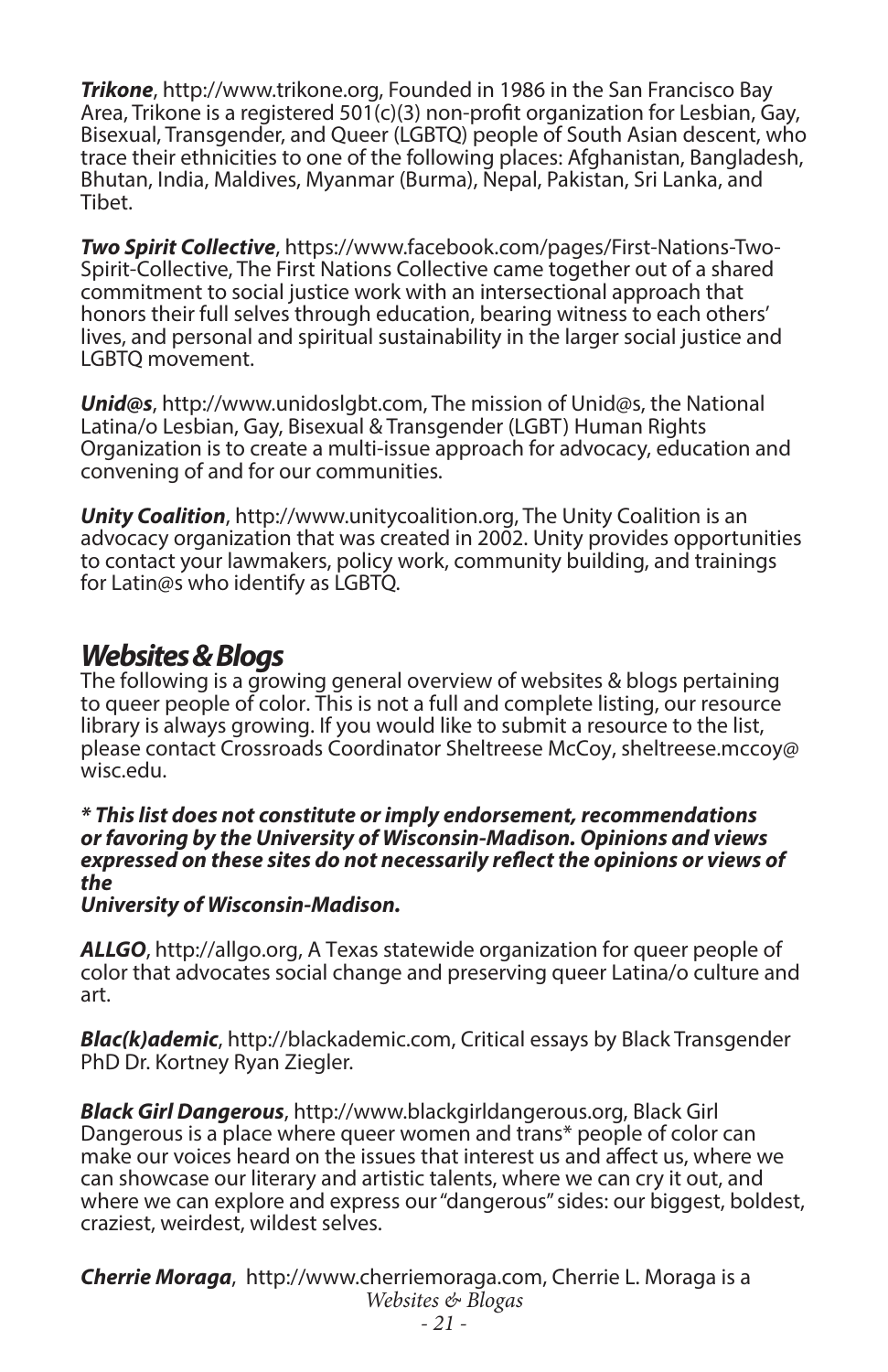*Trikone*, http://www.trikone.org, Founded in 1986 in the San Francisco Bay Area, Trikone is a registered 501(c)(3) non-profit organization for Lesbian, Gay, Bisexual, Transgender, and Queer (LGBTQ) people of South Asian descent, who trace their ethnicities to one of the following places: Afghanistan, Bangladesh, Bhutan, India, Maldives, Myanmar (Burma), Nepal, Pakistan, Sri Lanka, and Tibet.

*Two Spirit Collective*, https://www.facebook.com/pages/First-Nations-Two-Spirit-Collective, The First Nations Collective came together out of a shared commitment to social justice work with an intersectional approach that honors their full selves through education, bearing witness to each others' lives, and personal and spiritual sustainability in the larger social justice and LGBTQ movement.

*Unid@s*, http://www.unidoslgbt.com, The mission of Unid@s, the National Latina/o Lesbian, Gay, Bisexual & Transgender (LGBT) Human Rights Organization is to create a multi-issue approach for advocacy, education and convening of and for our communities.

*Unity Coalition*, http://www.unitycoalition.org, The Unity Coalition is an advocacy organization that was created in 2002. Unity provides opportunities to contact your lawmakers, policy work, community building, and trainings for Latin@s who identify as LGBTQ.

### *Websites & Blogs*

The following is a growing general overview of websites & blogs pertaining to queer people of color. This is not a full and complete listing, our resource library is always growing. If you would like to submit a resource to the list, please contact Crossroads Coordinator Sheltreese McCoy, sheltreese.mccoy@ wisc.edu.

#### *\* This list does not constitute or imply endorsement, recommendations or favoring by the University of Wisconsin-Madison. Opinions and views expressed on these sites do not necessarily reflect the opinions or views of the*

*University of Wisconsin-Madison.*

*ALLGO*, http://allgo.org, A Texas statewide organization for queer people of color that advocates social change and preserving queer Latina/o culture and art.

*Blac(k)ademic*, http://blackademic.com, Critical essays by Black Transgender PhD Dr. Kortney Ryan Ziegler.

*Black Girl Dangerous*, http://www.blackgirldangerous.org, Black Girl Dangerous is a place where queer women and trans\* people of color can make our voices heard on the issues that interest us and affect us, where we can showcase our literary and artistic talents, where we can cry it out, and where we can explore and express our "dangerous" sides: our biggest, boldest, craziest, weirdest, wildest selves.

*Cherrie Moraga*, http://www.cherriemoraga.com, Cherrie L. Moraga is a *Websites & Blogas*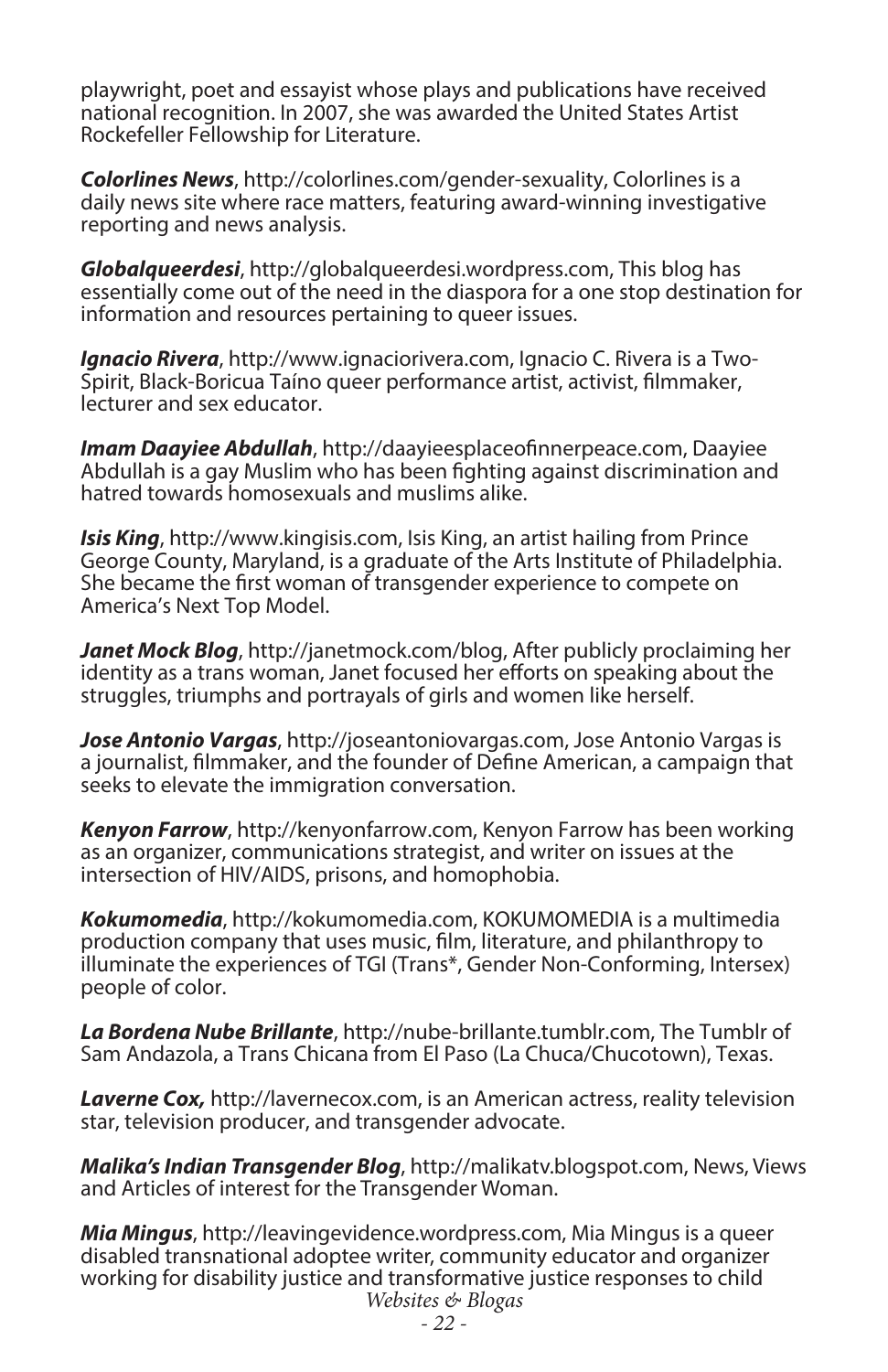playwright, poet and essayist whose plays and publications have received national recognition. In 2007, she was awarded the United States Artist Rockefeller Fellowship for Literature.

*Colorlines News*, http://colorlines.com/gender-sexuality, Colorlines is a daily news site where race matters, featuring award-winning investigative reporting and news analysis.

*Globalqueerdesi*, http://globalqueerdesi.wordpress.com, This blog has essentially come out of the need in the diaspora for a one stop destination for information and resources pertaining to queer issues.

*Ignacio Rivera*, http://www.ignaciorivera.com, Ignacio C. Rivera is a Two-Spirit, Black-Boricua Taíno queer performance artist, activist, filmmaker, lecturer and sex educator.

*Imam Daayiee Abdullah*, http://daayieesplaceofinnerpeace.com, Daayiee Abdullah is a gay Muslim who has been fighting against discrimination and hatred towards homosexuals and muslims alike.

*Isis King*, http://www.kingisis.com, Isis King, an artist hailing from Prince George County, Maryland, is a graduate of the Arts Institute of Philadelphia. She became the first woman of transgender experience to compete on America's Next Top Model.

*Janet Mock Blog*, http://janetmock.com/blog, After publicly proclaiming her identity as a trans woman, Janet focused her efforts on speaking about the struggles, triumphs and portrayals of girls and women like herself.

*Jose Antonio Vargas*, http://joseantoniovargas.com, Jose Antonio Vargas is a journalist, filmmaker, and the founder of Define American, a campaign that seeks to elevate the immigration conversation.

*Kenyon Farrow*, http://kenyonfarrow.com, Kenyon Farrow has been working as an organizer, communications strategist, and writer on issues at the intersection of HIV/AIDS, prisons, and homophobia.

*Kokumomedia*, http://kokumomedia.com, KOKUMOMEDIA is a multimedia production company that uses music, film, literature, and philanthropy to illuminate the experiences of TGI (Trans\*, Gender Non-Conforming, Intersex) people of color.

*La Bordena Nube Brillante*, http://nube-brillante.tumblr.com, The Tumblr of Sam Andazola, a Trans Chicana from El Paso (La Chuca/Chucotown), Texas.

*Laverne Cox,* http://lavernecox.com, is an American actress, reality television star, television producer, and transgender advocate.

*Malika's Indian Transgender Blog*, http://malikatv.blogspot.com, News, Views and Articles of interest for the Transgender Woman.

*Mia Mingus*, http://leavingevidence.wordpress.com, Mia Mingus is a queer disabled transnational adoptee writer, community educator and organizer working for disability justice and transformative justice responses to child *Websites & Blogas*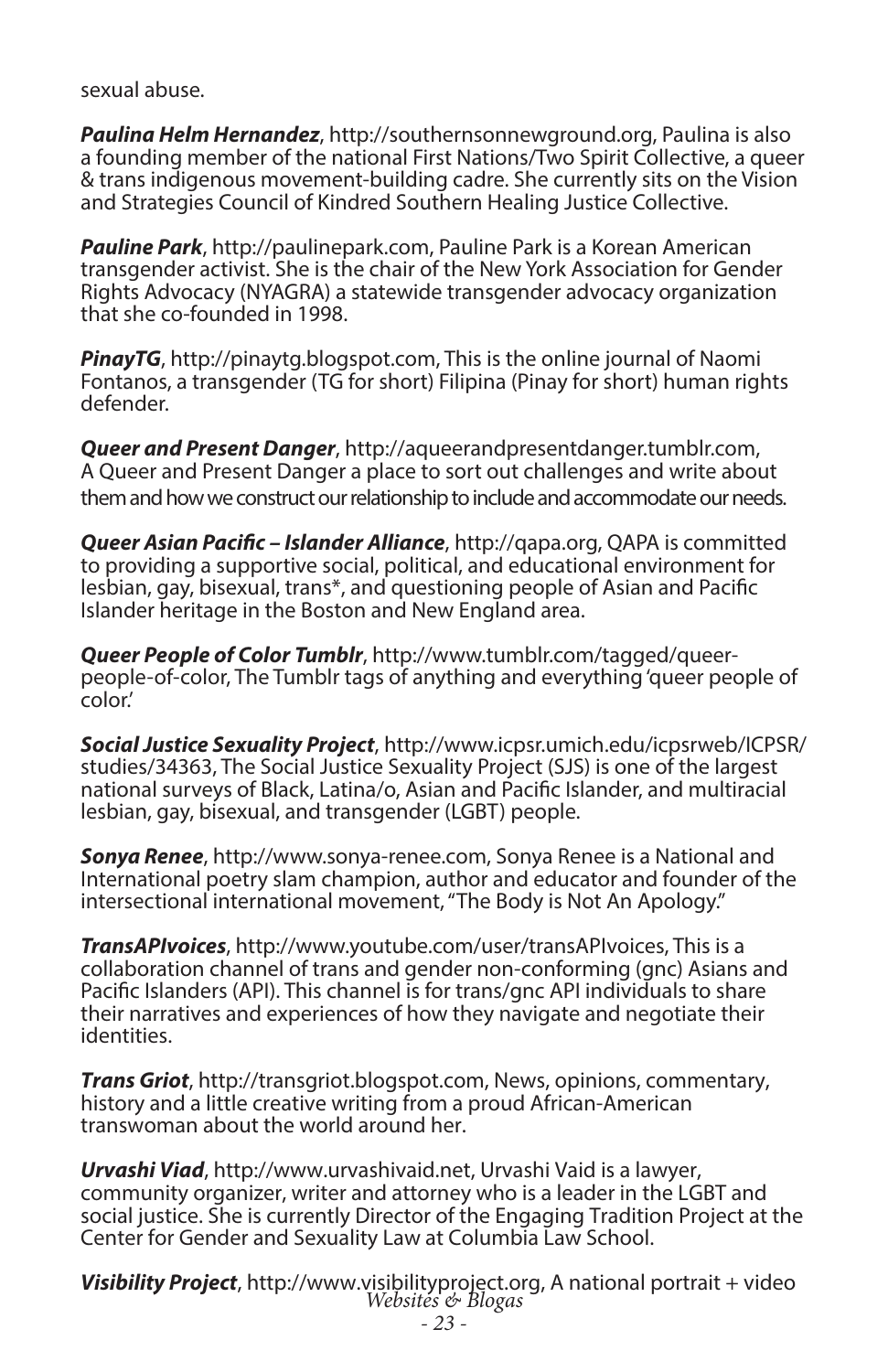sexual abuse.

*Paulina Helm Hernandez*, http://southernsonnewground.org, Paulina is also a founding member of the national First Nations/Two Spirit Collective, a queer & trans indigenous movement-building cadre. She currently sits on the Vision and Strategies Council of Kindred Southern Healing Justice Collective.

*Pauline Park*, http://paulinepark.com, Pauline Park is a Korean American transgender activist. She is the chair of the New York Association for Gender Rights Advocacy (NYAGRA) a statewide transgender advocacy organization that she co-founded in 1998.

*PinayTG*, http://pinaytg.blogspot.com, This is the online journal of Naomi Fontanos, a transgender (TG for short) Filipina (Pinay for short) human rights defender.

*Queer and Present Danger*, http://aqueerandpresentdanger.tumblr.com, A Queer and Present Danger a place to sort out challenges and write about them and how we construct our relationship to include and accommodate our needs.

*Queer Asian Pacific – Islander Alliance*, http://qapa.org, QAPA is committed to providing a supportive social, political, and educational environment for lesbian, gay, bisexual, trans\*, and questioning people of Asian and Pacific Islander heritage in the Boston and New England area.

*Queer People of Color Tumblr*, http://www.tumblr.com/tagged/queerpeople-of-color, The Tumblr tags of anything and everything 'queer people of color.'

*Social Justice Sexuality Project*, http://www.icpsr.umich.edu/icpsrweb/ICPSR/ studies/34363, The Social Justice Sexuality Project (SJS) is one of the largest national surveys of Black, Latina/o, Asian and Pacific Islander, and multiracial lesbian, gay, bisexual, and transgender (LGBT) people.

*Sonya Renee*, http://www.sonya-renee.com, Sonya Renee is a National and International poetry slam champion, author and educator and founder of the intersectional international movement, "The Body is Not An Apology."

*TransAPIvoices*, http://www.youtube.com/user/transAPIvoices, This is a collaboration channel of trans and gender non-conforming (gnc) Asians and Pacific Islanders (API). This channel is for trans/gnc API individuals to share their narratives and experiences of how they navigate and negotiate their identities.

*Trans Griot*, http://transgriot.blogspot.com, News, opinions, commentary, history and a little creative writing from a proud African-American transwoman about the world around her.

*Urvashi Viad*, http://www.urvashivaid.net, Urvashi Vaid is a lawyer, community organizer, writer and attorney who is a leader in the LGBT and social justice. She is currently Director of the Engaging Tradition Project at the Center for Gender and Sexuality Law at Columbia Law School.

*Visibility Project*, http://www.visibilityproject.org, A national portrait + video *Websites & Blogas*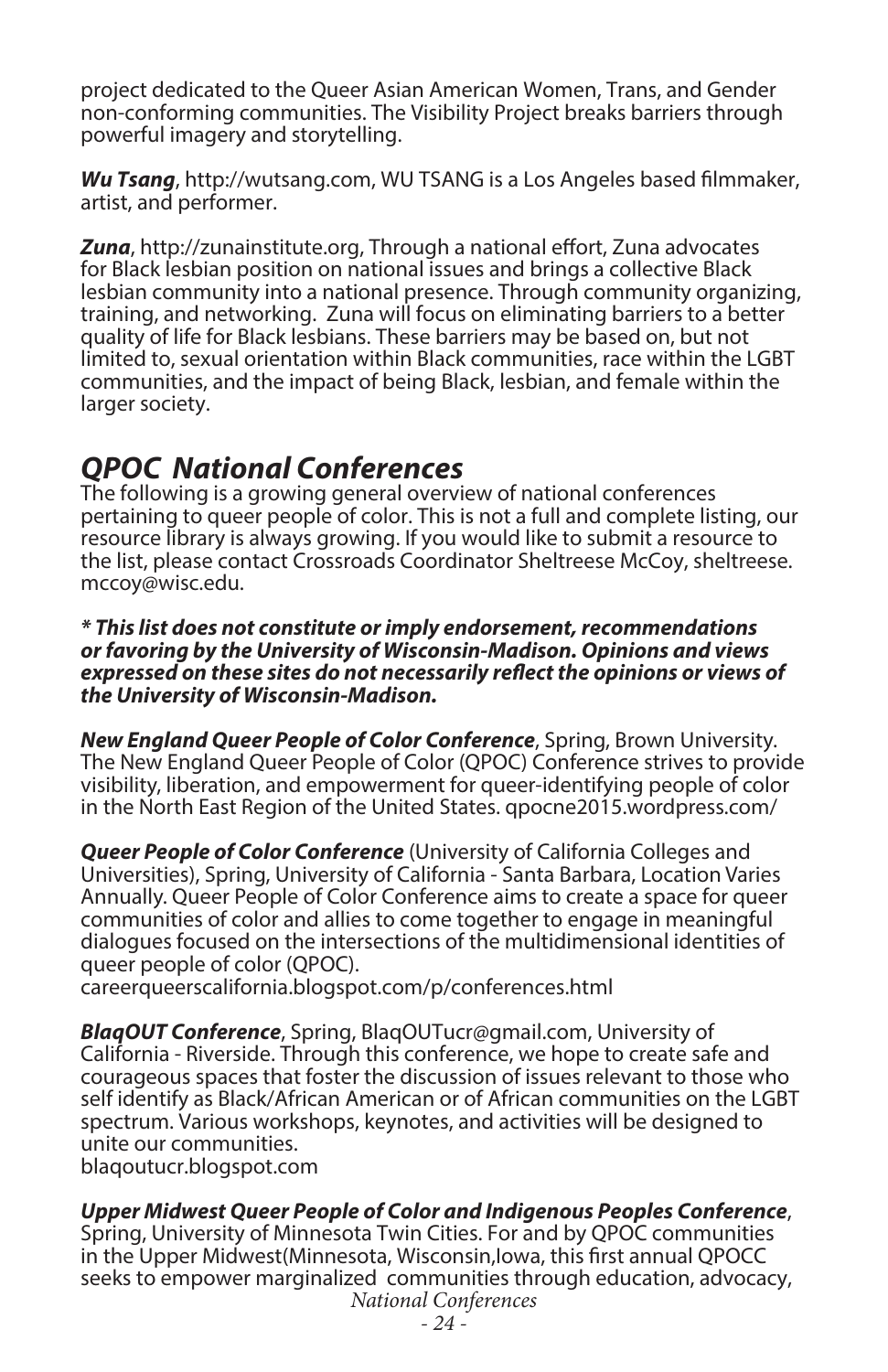project dedicated to the Queer Asian American Women, Trans, and Gender non-conforming communities. The Visibility Project breaks barriers through powerful imagery and storytelling.

*Wu Tsang*, http://wutsang.com, WU TSANG is a Los Angeles based filmmaker, artist, and performer.

*Zuna*, http://zunainstitute.org, Through a national effort, Zuna advocates for Black lesbian position on national issues and brings a collective Black lesbian community into a national presence. Through community organizing, training, and networking. Zuna will focus on eliminating barriers to a better quality of life for Black lesbians. These barriers may be based on, but not limited to, sexual orientation within Black communities, race within the LGBT communities, and the impact of being Black, lesbian, and female within the larger society.

# *QPOC National Conferences*

The following is a growing general overview of national conferences pertaining to queer people of color. This is not a full and complete listing, our resource library is always growing. If you would like to submit a resource to the list, please contact Crossroads Coordinator Sheltreese McCoy, sheltreese. mccoy@wisc.edu.

#### *\* This list does not constitute or imply endorsement, recommendations or favoring by the University of Wisconsin-Madison. Opinions and views expressed on these sites do not necessarily reflect the opinions or views of the University of Wisconsin-Madison.*

*New England Queer People of Color Conference*, Spring, Brown University. The New England Queer People of Color (QPOC) Conference strives to provide visibility, liberation, and empowerment for queer-identifying people of color in the North East Region of the United States. qpocne2015.wordpress.com/

*Queer People of Color Conference* (University of California Colleges and Universities), Spring, University of California - Santa Barbara, Location Varies Annually. Queer People of Color Conference aims to create a space for queer communities of color and allies to come together to engage in meaningful dialogues focused on the intersections of the multidimensional identities of queer people of color (QPOC).

careerqueerscalifornia.blogspot.com/p/conferences.html

*BlaqOUT Conference*, Spring, BlaqOUTucr@gmail.com, University of California - Riverside. Through this conference, we hope to create safe and courageous spaces that foster the discussion of issues relevant to those who self identify as Black/African American or of African communities on the LGBT spectrum. Various workshops, keynotes, and activities will be designed to unite our communities.

blaqoutucr.blogspot.com

#### *Upper Midwest Queer People of Color and Indigenous Peoples Conference*,

Spring, University of Minnesota Twin Cities. For and by QPOC communities in the Upper Midwest(Minnesota, Wisconsin,Iowa, this first annual QPOCC seeks to empower marginalized communities through education, advocacy, *National Conferences*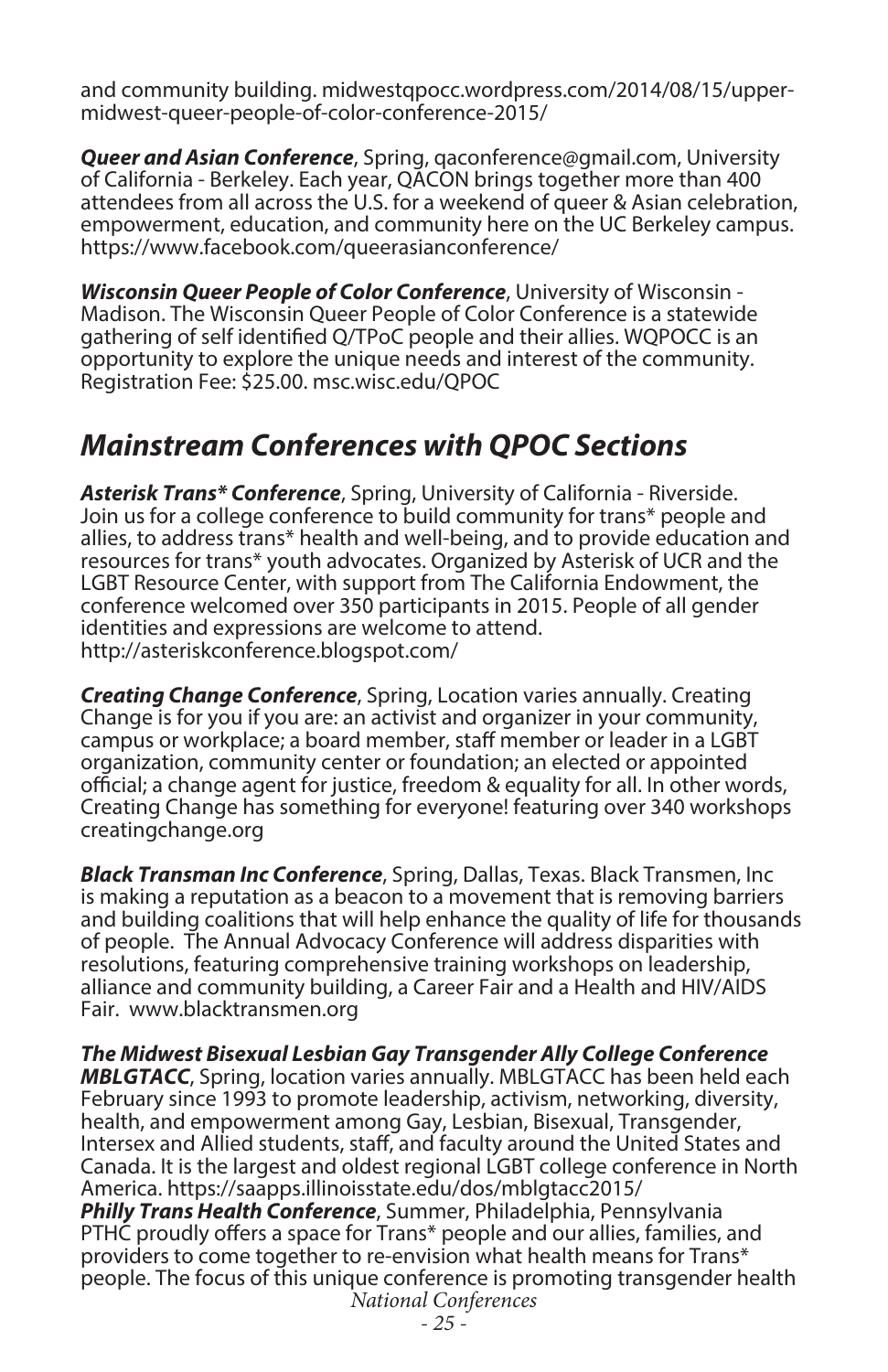and community building. midwestqpocc.wordpress.com/2014/08/15/uppermidwest-queer-people-of-color-conference-2015/

*Queer and Asian Conference*, Spring, qaconference@gmail.com, University of California - Berkeley. Each year, QACON brings together more than 400 attendees from all across the U.S. for a weekend of queer & Asian celebration, empowerment, education, and community here on the UC Berkeley campus. https://www.facebook.com/queerasianconference/

*Wisconsin Queer People of Color Conference*, University of Wisconsin - Madison. The Wisconsin Queer People of Color Conference is a statewide gathering of self identified Q/TPoC people and their allies. WQPOCC is an opportunity to explore the unique needs and interest of the community. Registration Fee: \$25.00. msc.wisc.edu/QPOC

### *Mainstream Conferences with QPOC Sections*

*Asterisk Trans\* Conference*, Spring, University of California - Riverside. Join us for a college conference to build community for trans\* people and allies, to address trans\* health and well-being, and to provide education and resources for trans\* youth advocates. Organized by Asterisk of UCR and the LGBT Resource Center, with support from The California Endowment, the conference welcomed over 350 participants in 2015. People of all gender identities and expressions are welcome to attend. http://asteriskconference.blogspot.com/

*Creating Change Conference*, Spring, Location varies annually. Creating Change is for you if you are: an activist and organizer in your community, campus or workplace; a board member, staff member or leader in a LGBT organization, community center or foundation; an elected or appointed official; a change agent for justice, freedom & equality for all. In other words, Creating Change has something for everyone! featuring over 340 workshops creatingchange.org

*Black Transman Inc Conference*, Spring, Dallas, Texas. Black Transmen, Inc is making a reputation as a beacon to a movement that is removing barriers and building coalitions that will help enhance the quality of life for thousands of people. The Annual Advocacy Conference will address disparities with resolutions, featuring comprehensive training workshops on leadership, alliance and community building, a Career Fair and a Health and HIV/AIDS Fair. www.blacktransmen.org

*The Midwest Bisexual Lesbian Gay Transgender Ally College Conference MBLGTACC*, Spring, location varies annually. MBLGTACC has been held each February since 1993 to promote leadership, activism, networking, diversity, health, and empowerment among Gay, Lesbian, Bisexual, Transgender, Intersex and Allied students, staff, and faculty around the United States and Canada. It is the largest and oldest regional LGBT college conference in North America. https://saapps.illinoisstate.edu/dos/mblgtacc2015/ *Philly Trans Health Conference*, Summer, Philadelphia, Pennsylvania

PTHC proudly offers a space for Trans\* people and our allies, families, and providers to come together to re-envision what health means for Trans\* people. The focus of this unique conference is promoting transgender health *National Conferences*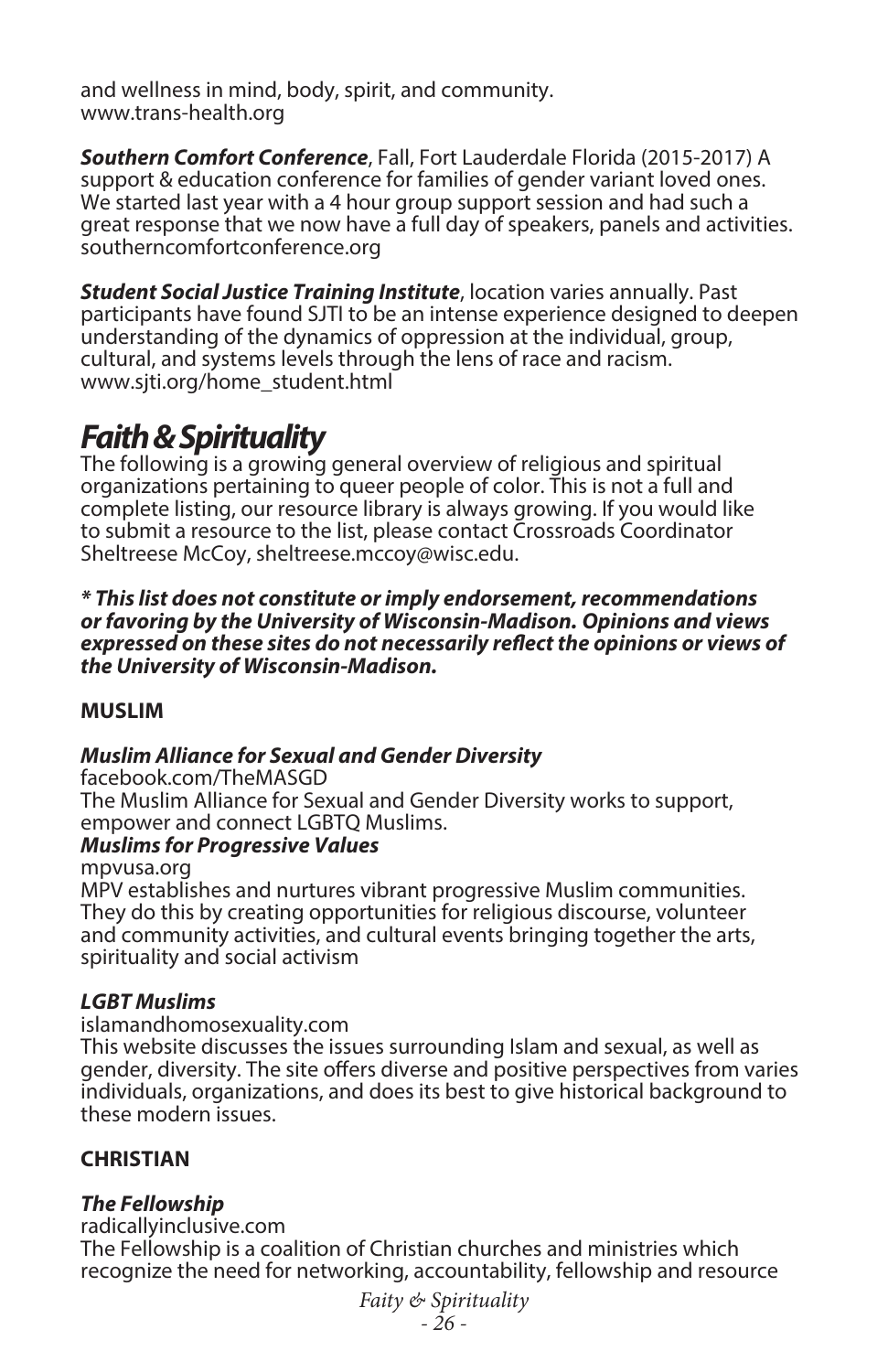and wellness in mind, body, spirit, and community. www.trans-health.org

*Southern Comfort Conference*, Fall, Fort Lauderdale Florida (2015-2017) A support & education conference for families of gender variant loved ones. We started last year with a 4 hour group support session and had such a great response that we now have a full day of speakers, panels and activities. southerncomfortconference.org

*Student Social Justice Training Institute*, location varies annually. Past participants have found SJTI to be an intense experience designed to deepen understanding of the dynamics of oppression at the individual, group, cultural, and systems levels through the lens of race and racism. www.sjti.org/home\_student.html

# *Faith & Spirituality*

The following is a growing general overview of religious and spiritual organizations pertaining to queer people of color. This is not a full and complete listing, our resource library is always growing. If you would like to submit a resource to the list, please contact Crossroads Coordinator Sheltreese McCoy, sheltreese.mccoy@wisc.edu.

*\* This list does not constitute or imply endorsement, recommendations or favoring by the University of Wisconsin-Madison. Opinions and views expressed on these sites do not necessarily reflect the opinions or views of the University of Wisconsin-Madison.*

#### **MUSLIM**

#### *Muslim Alliance for Sexual and Gender Diversity*

facebook.com/TheMASGD The Muslim Alliance for Sexual and Gender Diversity works to support, empower and connect LGBTQ Muslims.

#### *Muslims for Progressive Values*

mpvusa.org

MPV establishes and nurtures vibrant progressive Muslim communities. They do this by creating opportunities for religious discourse, volunteer and community activities, and cultural events bringing together the arts, spirituality and social activism

#### *LGBT Muslims*

islamandhomosexuality.com

This website discusses the issues surrounding Islam and sexual, as well as gender, diversity. The site offers diverse and positive perspectives from varies individuals, organizations, and does its best to give historical background to these modern issues.

#### **CHRISTIAN**

#### *The Fellowship*

radicallyinclusive.com

The Fellowship is a coalition of Christian churches and ministries which recognize the need for networking, accountability, fellowship and resource

> *Faity & Spirituality - 26 -*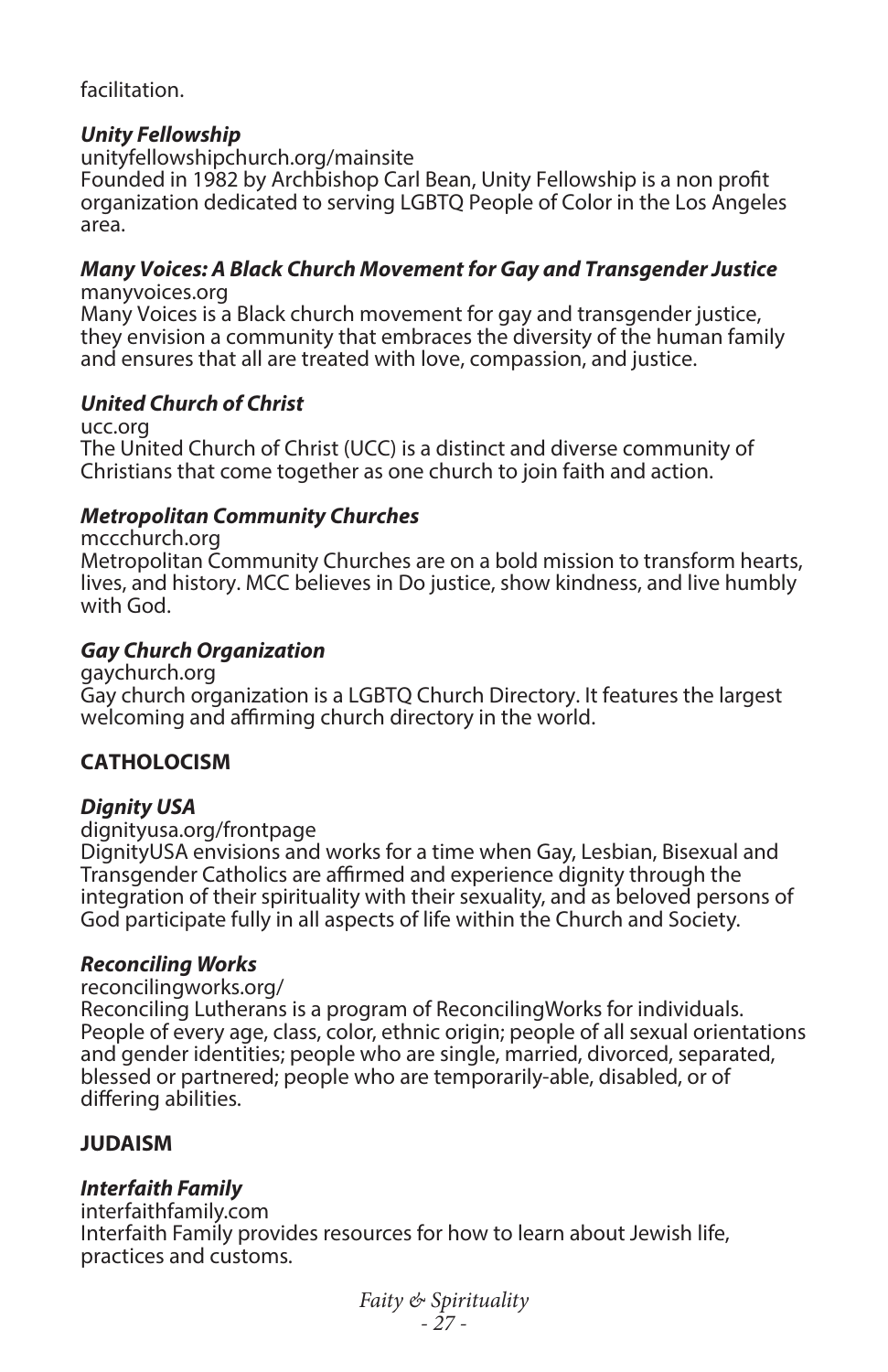#### facilitation.

#### *Unity Fellowship*

unityfellowshipchurch.org/mainsite Founded in 1982 by Archbishop Carl Bean, Unity Fellowship is a non profit organization dedicated to serving LGBTQ People of Color in the Los Angeles area.

#### *Many Voices: A Black Church Movement for Gay and Transgender Justice* manyvoices.org

Many Voices is a Black church movement for gay and transgender justice, they envision a community that embraces the diversity of the human family and ensures that all are treated with love, compassion, and justice.

#### *United Church of Christ*

ucc.org The United Church of Christ (UCC) is a distinct and diverse community of Christians that come together as one church to join faith and action.

#### *Metropolitan Community Churches*

mccchurch.org Metropolitan Community Churches are on a bold mission to transform hearts, lives, and history. MCC believes in Do justice, show kindness, and live humbly with God.

#### *Gay Church Organization*

gaychurch.org Gay church organization is a LGBTQ Church Directory. It features the largest welcoming and affirming church directory in the world.

#### **CATHOLOCISM**

#### *Dignity USA*

dignityusa.org/frontpage

DignityUSA envisions and works for a time when Gay, Lesbian, Bisexual and Transgender Catholics are affirmed and experience dignity through the integration of their spirituality with their sexuality, and as beloved persons of God participate fully in all aspects of life within the Church and Society.

#### *Reconciling Works*

#### reconcilingworks.org/

Reconciling Lutherans is a program of ReconcilingWorks for individuals. People of every age, class, color, ethnic origin; people of all sexual orientations and gender identities; people who are single, married, divorced, separated, blessed or partnered; people who are temporarily-able, disabled, or of differing abilities.

#### **JUDAISM**

#### *Interfaith Family*

interfaithfamily.com Interfaith Family provides resources for how to learn about Jewish life, practices and customs.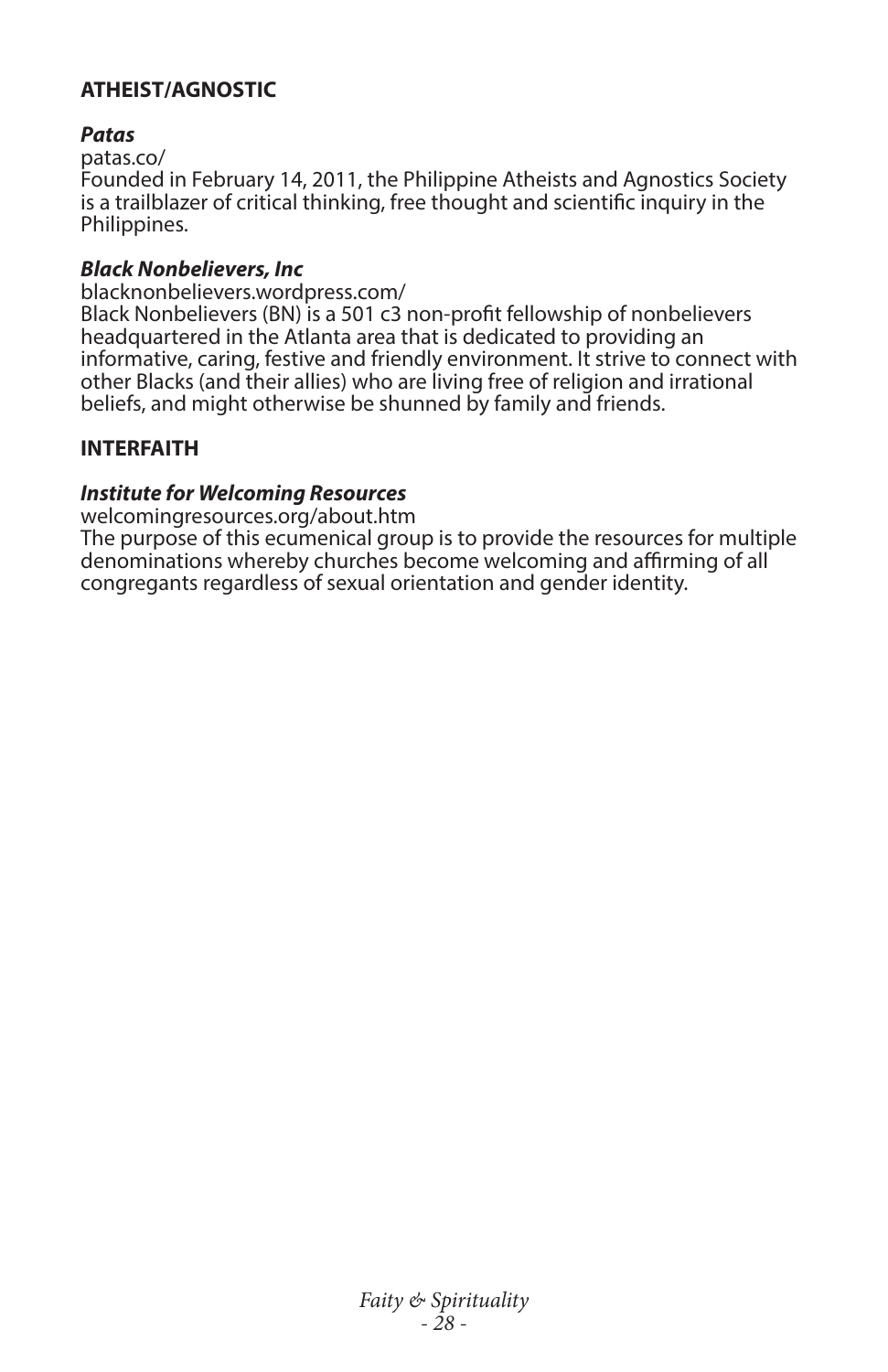#### **ATHEIST/AGNOSTIC**

#### *Patas*

#### patas.co/

Founded in February 14, 2011, the Philippine Atheists and Agnostics Society is a trailblazer of critical thinking, free thought and scientific inquiry in the Philippines.

#### *Black Nonbelievers, Inc*

blacknonbelievers.wordpress.com/

Black Nonbelievers (BN) is a 501 c3 non-profit fellowship of nonbelievers headquartered in the Atlanta area that is dedicated to providing an informative, caring, festive and friendly environment. It strive to connect with other Blacks (and their allies) who are living free of religion and irrational beliefs, and might otherwise be shunned by family and friends.

#### **INTERFAITH**

#### *Institute for Welcoming Resources*

welcomingresources.org/about.htm

The purpose of this ecumenical group is to provide the resources for multiple denominations whereby churches become welcoming and affirming of all congregants regardless of sexual orientation and gender identity.